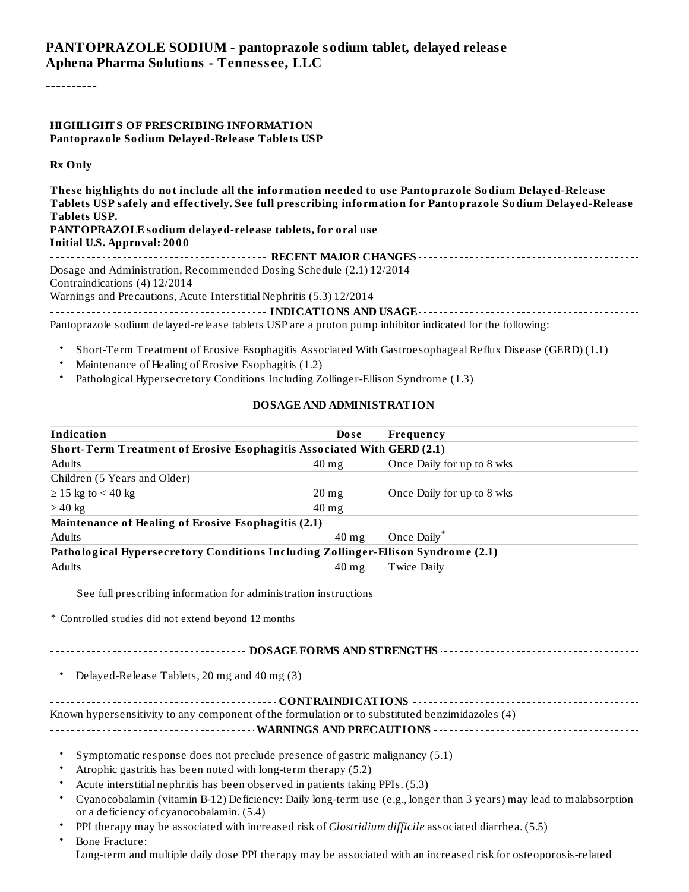#### **PANTOPRAZOLE SODIUM - pantoprazole sodium tablet, delayed releas e Aphena Pharma Solutions - Tenness ee, LLC**

----------

#### **HIGHLIGHTS OF PRESCRIBING INFORMATION Pantoprazole Sodium Delayed-Release Tablets USP**

**Rx Only**

**These highlights do not include all the information needed to use Pantoprazole Sodium Delayed-Release Tablets USP safely and effectively. See full prescribing information for Pantoprazole Sodium Delayed-Release Tablets USP.**

**PANTOPRAZOLE sodium delayed-release tablets, for oral use Initial U.S. Approval: 2000**

| TIIIUAI U.S. APPIUVAI. ZUUU                                          |
|----------------------------------------------------------------------|
|                                                                      |
|                                                                      |
| Dosage and Administration, Recommended Dosing Schedule (2.1) 12/2014 |
| Contraindications (4) 12/2014                                        |
| Warnings and Precautions, Acute Interstitial Nephritis (5.3) 12/2014 |
|                                                                      |
|                                                                      |

Pantoprazole sodium delayed-release tablets USP are a proton pump inhibitor indicated for the following:

- Short-Term Treatment of Erosive Esophagitis Associated With Gastroesophageal Reflux Disease (GERD) (1.1)
- Maintenance of Healing of Erosive Esophagitis (1.2)
- Pathological Hypersecretory Conditions Including Zollinger-Ellison Syndrome (1.3)

#### **DOSAGE AND ADMINISTRATION**

| Indication                                                                        | Dose                              | Frequency                  |
|-----------------------------------------------------------------------------------|-----------------------------------|----------------------------|
| <b>Short-Term Treatment of Erosive Esophagitis Associated With GERD (2.1)</b>     |                                   |                            |
| Adults                                                                            | $40 \text{ mg}$                   | Once Daily for up to 8 wks |
| Children (5 Years and Older)                                                      |                                   |                            |
| $\geq$ 15 kg to < 40 kg                                                           | $20 \,\mathrm{mg}$                | Once Daily for up to 8 wks |
| $\geq 40$ kg                                                                      | $40$ mg                           |                            |
| Maintenance of Healing of Erosive Esophagitis (2.1)                               |                                   |                            |
| Adults                                                                            | $40$ mg                           | Once Daily <sup>*</sup>    |
| Pathological Hypersecretory Conditions Including Zollinger-Ellison Syndrome (2.1) |                                   |                            |
| Adults                                                                            | $40 \text{ mg}$                   | Twice Daily                |
| See full prescribing information for administration instructions                  |                                   |                            |
| * Controlled studies did not extend beyond 12 months                              |                                   |                            |
|                                                                                   | <b>DOSAGE FORMS AND STRENGTHS</b> |                            |

• Delayed-Release Tablets, 20 mg and 40 mg (3)

| Known hypersensitivity to any component of the formulation or to substituted benzimidazoles (4) |
|-------------------------------------------------------------------------------------------------|
|                                                                                                 |

- Symptomatic response does not preclude presence of gastric malignancy (5.1)
- Atrophic gastritis has been noted with long-term therapy (5.2)
- Acute interstitial nephritis has been observed in patients taking PPIs. (5.3)
- Cyanocobalamin (vitamin B-12) Deficiency: Daily long-term use (e.g., longer than 3 years) may lead to malabsorption or a deficiency of cyanocobalamin. (5.4)
- PPI therapy may be associated with increased risk of *Clostridium difficile* associated diarrhea. (5.5)
- Bone Fracture: Long-term and multiple daily dose PPI therapy may be associated with an increased risk for osteoporosis-related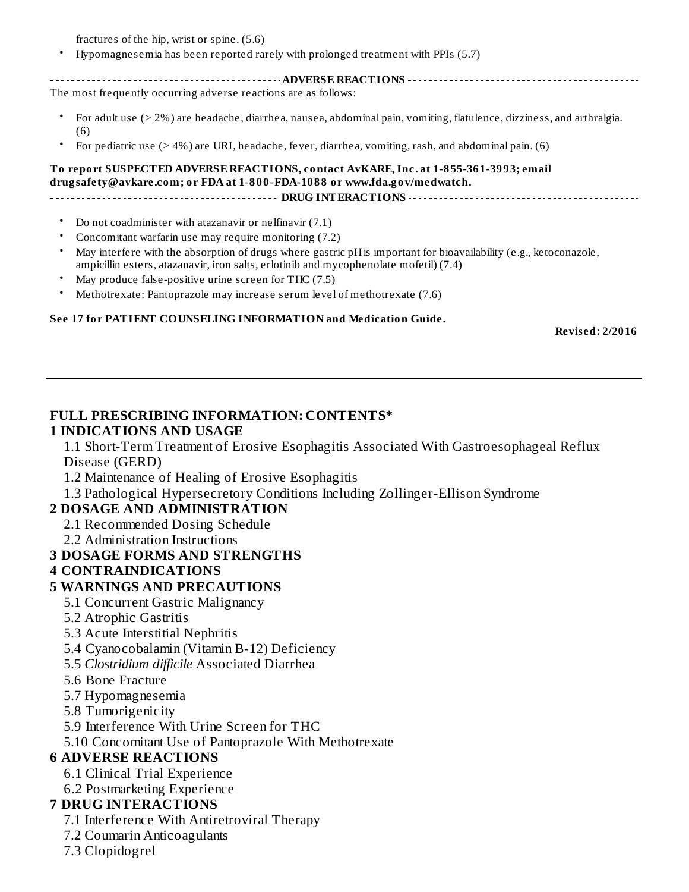fractures of the hip, wrist or spine. (5.6)

• Hypomagnesemia has been reported rarely with prolonged treatment with PPIs (5.7)

**ADVERSE REACTIONS** The most frequently occurring adverse reactions are as follows:

- For adult use (> 2%) are headache, diarrhea, nausea, abdominal pain, vomiting, flatulence, dizziness, and arthralgia. (6)
- For pediatric use (> 4%) are URI, headache, fever, diarrhea, vomiting, rash, and abdominal pain. (6)

#### **To report SUSPECTED ADVERSE REACTIONS, contact AvKARE, Inc. at 1-855-361-3993; email drugsafety@avkare.com; or FDA at 1-800-FDA-1088 or www.fda.gov/medwatch. DRUG INTERACTIONS**

- Do not coadminister with atazanavir or nelfinavir (7.1)
- Concomitant warfarin use may require monitoring (7.2)
- May interfere with the absorption of drugs where gastric pHis important for bioavailability (e.g., ketoconazole, ampicillin esters, atazanavir, iron salts, erlotinib and mycophenolate mofetil) (7.4)
- May produce false-positive urine screen for THC (7.5)
- Methotrexate: Pantoprazole may increase serum level of methotrexate (7.6)

#### **See 17 for PATIENT COUNSELING INFORMATION and Medication Guide.**

**Revised: 2/2016**

#### **FULL PRESCRIBING INFORMATION: CONTENTS\* 1 INDICATIONS AND USAGE**

1.1 Short-Term Treatment of Erosive Esophagitis Associated With Gastroesophageal Reflux Disease (GERD)

1.2 Maintenance of Healing of Erosive Esophagitis

1.3 Pathological Hypersecretory Conditions Including Zollinger-Ellison Syndrome

#### **2 DOSAGE AND ADMINISTRATION**

2.1 Recommended Dosing Schedule

2.2 Administration Instructions

#### **3 DOSAGE FORMS AND STRENGTHS**

#### **4 CONTRAINDICATIONS**

#### **5 WARNINGS AND PRECAUTIONS**

- 5.1 Concurrent Gastric Malignancy
- 5.2 Atrophic Gastritis
- 5.3 Acute Interstitial Nephritis
- 5.4 Cyanocobalamin (Vitamin B-12) Deficiency
- 5.5 *Clostridium difficile* Associated Diarrhea
- 5.6 Bone Fracture
- 5.7 Hypomagnesemia
- 5.8 Tumorigenicity
- 5.9 Interference With Urine Screen for THC

#### 5.10 Concomitant Use of Pantoprazole With Methotrexate

#### **6 ADVERSE REACTIONS**

- 6.1 Clinical Trial Experience
- 6.2 Postmarketing Experience

#### **7 DRUG INTERACTIONS**

- 7.1 Interference With Antiretroviral Therapy
- 7.2 Coumarin Anticoagulants
- 7.3 Clopidogrel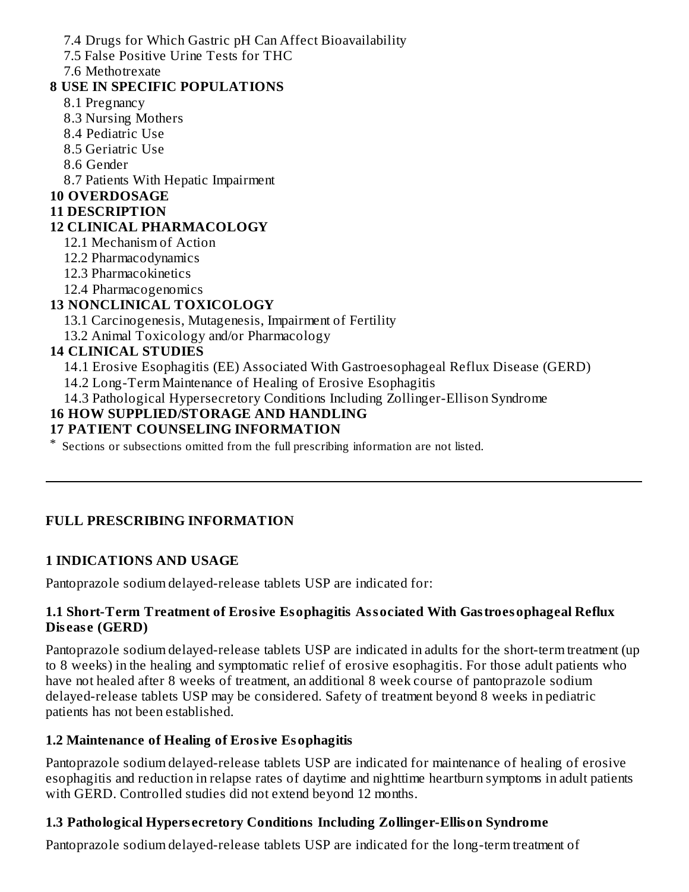7.4 Drugs for Which Gastric pH Can Affect Bioavailability

7.5 False Positive Urine Tests for THC

7.6 Methotrexate

#### **8 USE IN SPECIFIC POPULATIONS**

8.1 Pregnancy

8.3 Nursing Mothers

- 8.4 Pediatric Use
- 8.5 Geriatric Use

8.6 Gender

8.7 Patients With Hepatic Impairment

#### **10 OVERDOSAGE**

#### **11 DESCRIPTION**

#### **12 CLINICAL PHARMACOLOGY**

12.1 Mechanism of Action

12.2 Pharmacodynamics

12.3 Pharmacokinetics

12.4 Pharmacogenomics

#### **13 NONCLINICAL TOXICOLOGY**

13.1 Carcinogenesis, Mutagenesis, Impairment of Fertility

13.2 Animal Toxicology and/or Pharmacology

#### **14 CLINICAL STUDIES**

14.1 Erosive Esophagitis (EE) Associated With Gastroesophageal Reflux Disease (GERD)

14.2 Long-Term Maintenance of Healing of Erosive Esophagitis

14.3 Pathological Hypersecretory Conditions Including Zollinger-Ellison Syndrome

#### **16 HOW SUPPLIED/STORAGE AND HANDLING**

### **17 PATIENT COUNSELING INFORMATION**

\* Sections or subsections omitted from the full prescribing information are not listed.

### **FULL PRESCRIBING INFORMATION**

### **1 INDICATIONS AND USAGE**

Pantoprazole sodium delayed-release tablets USP are indicated for:

#### **1.1 Short-Term Treatment of Erosive Esophagitis Associated With Gastroesophageal Reflux Dis eas e (GERD)**

Pantoprazole sodium delayed-release tablets USP are indicated in adults for the short-term treatment (up to 8 weeks) in the healing and symptomatic relief of erosive esophagitis. For those adult patients who have not healed after 8 weeks of treatment, an additional 8 week course of pantoprazole sodium delayed-release tablets USP may be considered. Safety of treatment beyond 8 weeks in pediatric patients has not been established.

### **1.2 Maintenance of Healing of Erosive Esophagitis**

Pantoprazole sodium delayed-release tablets USP are indicated for maintenance of healing of erosive esophagitis and reduction in relapse rates of daytime and nighttime heartburn symptoms in adult patients with GERD. Controlled studies did not extend beyond 12 months.

### **1.3 Pathological Hypers ecretory Conditions Including Zollinger-Ellison Syndrome**

Pantoprazole sodium delayed-release tablets USP are indicated for the long-term treatment of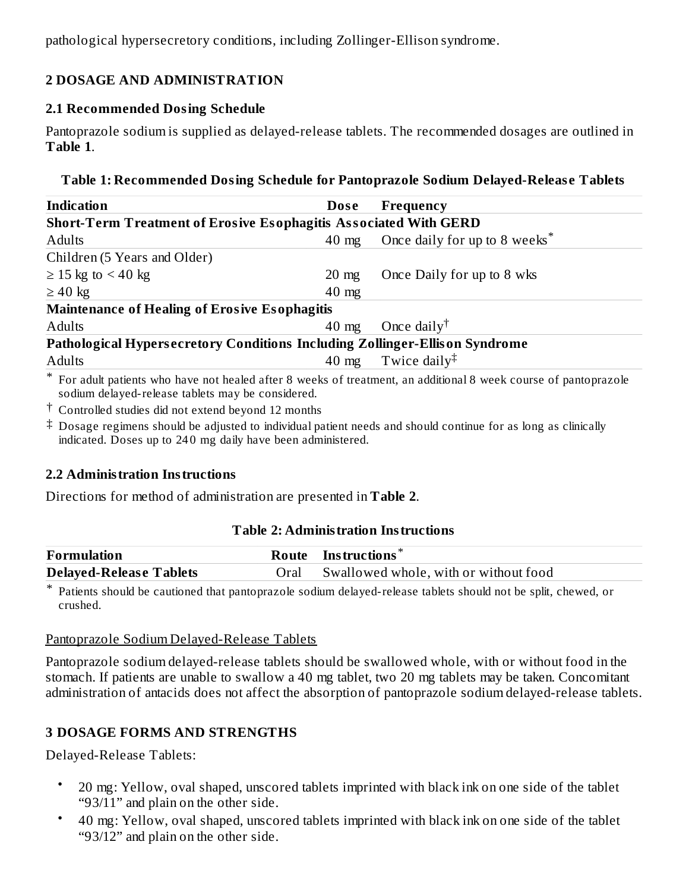pathological hypersecretory conditions, including Zollinger-Ellison syndrome.

### **2 DOSAGE AND ADMINISTRATION**

#### **2.1 Recommended Dosing Schedule**

Pantoprazole sodium is supplied as delayed-release tablets. The recommended dosages are outlined in **Table 1**.

#### **Table 1: Recommended Dosing Schedule for Pantoprazole Sodium Delayed-Releas e Tablets**

| <b>Indication</b>                                                           | <b>Dose</b>     | <b>Frequency</b>                                                                                                 |
|-----------------------------------------------------------------------------|-----------------|------------------------------------------------------------------------------------------------------------------|
| <b>Short-Term Treatment of Erosive Esophagitis Associated With GERD</b>     |                 |                                                                                                                  |
| Adults                                                                      | $40 \text{ mg}$ | Once daily for up to 8 weeks <sup>*</sup>                                                                        |
| Children (5 Years and Older)                                                |                 |                                                                                                                  |
| $\geq$ 15 kg to < 40 kg                                                     | $20 \text{ mg}$ | Once Daily for up to 8 wks                                                                                       |
| $\geq 40$ kg                                                                | $40 \text{ mg}$ |                                                                                                                  |
| <b>Maintenance of Healing of Erosive Esophagitis</b>                        |                 |                                                                                                                  |
| Adults                                                                      | $40 \text{ mg}$ | Once daily <sup><math>\dagger</math></sup>                                                                       |
| Pathological Hypersecretory Conditions Including Zollinger-Ellison Syndrome |                 |                                                                                                                  |
| <b>Adults</b>                                                               | $40 \text{ mg}$ | Twice daily <sup><math>\ddagger</math></sup>                                                                     |
| sodium delayed-release tablets may be considered.                           |                 | * For adult patients who have not healed after 8 weeks of treatment, an additional 8 week course of pantoprazole |

† Controlled studies did not extend beyond 12 months

 $^\ddag$  Dosage regimens should be adjusted to individual patient needs and should continue for as long as clinically indicated. Doses up to 24 0 mg daily have been administered.

### **2.2 Administration Instructions**

Directions for method of administration are presented in **Table 2**.

#### **Table 2: Administration Instructions**

| <b>Formulation</b>             |      | Route Instructions*                   |
|--------------------------------|------|---------------------------------------|
| <b>Delayed-Release Tablets</b> | Oral | Swallowed whole, with or without food |

\* Patients should be cautioned that pantoprazole sodium delayed-release tablets should not be split, chewed, or crushed.

#### Pantoprazole Sodium Delayed-Release Tablets

Pantoprazole sodium delayed-release tablets should be swallowed whole, with or without food in the stomach. If patients are unable to swallow a 40 mg tablet, two 20 mg tablets may be taken. Concomitant administration of antacids does not affect the absorption of pantoprazole sodium delayed-release tablets.

### **3 DOSAGE FORMS AND STRENGTHS**

Delayed-Release Tablets:

- 20 mg: Yellow, oval shaped, unscored tablets imprinted with black ink on one side of the tablet "93/11" and plain on the other side.
- 40 mg: Yellow, oval shaped, unscored tablets imprinted with black ink on one side of the tablet "93/12" and plain on the other side.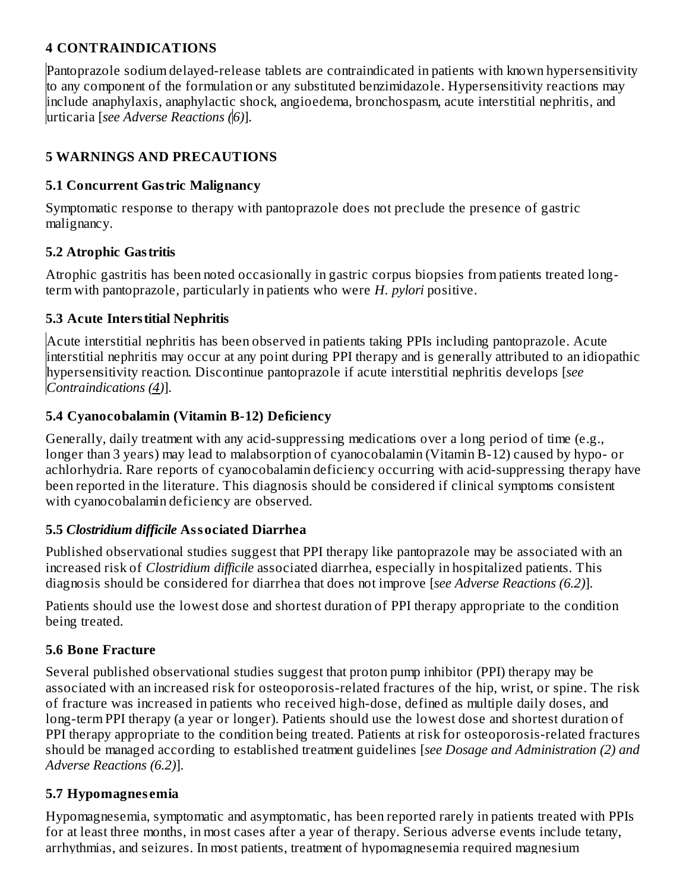### **4 CONTRAINDICATIONS**

Pantoprazole sodium delayed-release tablets are contraindicated in patients with known hypersensitivity to any component of the formulation or any substituted benzimidazole. Hypersensitivity reactions may include anaphylaxis, anaphylactic shock, angioedema, bronchospasm, acute interstitial nephritis, and urticaria [*see Adverse Reactions (6)*].

#### **5 WARNINGS AND PRECAUTIONS**

#### **5.1 Concurrent Gastric Malignancy**

Symptomatic response to therapy with pantoprazole does not preclude the presence of gastric malignancy.

#### **5.2 Atrophic Gastritis**

Atrophic gastritis has been noted occasionally in gastric corpus biopsies from patients treated longterm with pantoprazole, particularly in patients who were *H. pylori* positive.

#### **5.3 Acute Interstitial Nephritis**

Acute interstitial nephritis has been observed in patients taking PPIs including pantoprazole. Acute interstitial nephritis may occur at any point during PPI therapy and is generally attributed to an idiopathic hypersensitivity reaction. Discontinue pantoprazole if acute interstitial nephritis develops [*see Contraindications (4)*].

#### **5.4 Cyanocobalamin (Vitamin B-12) Deficiency**

Generally, daily treatment with any acid-suppressing medications over a long period of time (e.g., longer than 3 years) may lead to malabsorption of cyanocobalamin (Vitamin B-12) caused by hypo- or achlorhydria. Rare reports of cyanocobalamin deficiency occurring with acid-suppressing therapy have been reported in the literature. This diagnosis should be considered if clinical symptoms consistent with cyanocobalamin deficiency are observed.

#### **5.5** *Clostridium difficile* **Associated Diarrhea**

Published observational studies suggest that PPI therapy like pantoprazole may be associated with an increased risk of *Clostridium difficile* associated diarrhea, especially in hospitalized patients. This diagnosis should be considered for diarrhea that does not improve [*see Adverse Reactions (6.2)*].

Patients should use the lowest dose and shortest duration of PPI therapy appropriate to the condition being treated.

### **5.6 Bone Fracture**

Several published observational studies suggest that proton pump inhibitor (PPI) therapy may be associated with an increased risk for osteoporosis-related fractures of the hip, wrist, or spine. The risk of fracture was increased in patients who received high-dose, defined as multiple daily doses, and long-term PPI therapy (a year or longer). Patients should use the lowest dose and shortest duration of PPI therapy appropriate to the condition being treated. Patients at risk for osteoporosis-related fractures should be managed according to established treatment guidelines [*see Dosage and Administration (2) and Adverse Reactions (6.2)*].

### **5.7 Hypomagnes emia**

Hypomagnesemia, symptomatic and asymptomatic, has been reported rarely in patients treated with PPIs for at least three months, in most cases after a year of therapy. Serious adverse events include tetany, arrhythmias, and seizures. In most patients, treatment of hypomagnesemia required magnesium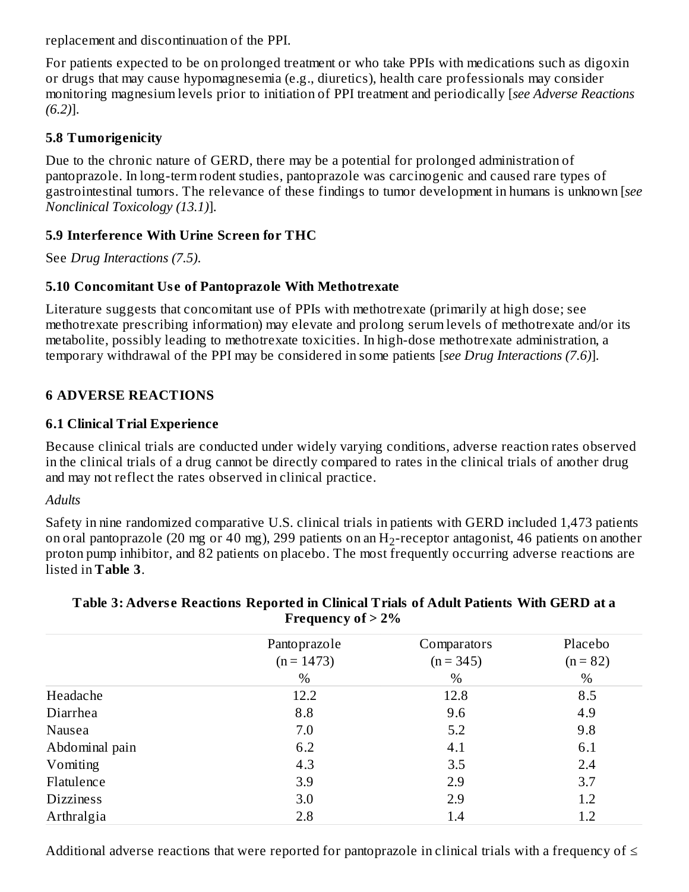replacement and discontinuation of the PPI.

For patients expected to be on prolonged treatment or who take PPIs with medications such as digoxin or drugs that may cause hypomagnesemia (e.g., diuretics), health care professionals may consider monitoring magnesium levels prior to initiation of PPI treatment and periodically [*see Adverse Reactions (6.2)*].

#### **5.8 Tumorigenicity**

Due to the chronic nature of GERD, there may be a potential for prolonged administration of pantoprazole. In long-term rodent studies, pantoprazole was carcinogenic and caused rare types of gastrointestinal tumors. The relevance of these findings to tumor development in humans is unknown [*see Nonclinical Toxicology (13.1)*].

### **5.9 Interference With Urine Screen for THC**

See *Drug Interactions (7.5)*.

### **5.10 Concomitant Us e of Pantoprazole With Methotrexate**

Literature suggests that concomitant use of PPIs with methotrexate (primarily at high dose; see methotrexate prescribing information) may elevate and prolong serum levels of methotrexate and/or its metabolite, possibly leading to methotrexate toxicities. In high-dose methotrexate administration, a temporary withdrawal of the PPI may be considered in some patients [*see Drug Interactions (7.6)*].

### **6 ADVERSE REACTIONS**

#### **6.1 Clinical Trial Experience**

Because clinical trials are conducted under widely varying conditions, adverse reaction rates observed in the clinical trials of a drug cannot be directly compared to rates in the clinical trials of another drug and may not reflect the rates observed in clinical practice.

### *Adults*

Safety in nine randomized comparative U.S. clinical trials in patients with GERD included 1,473 patients on oral pantoprazole (20 mg or 40 mg), 299 patients on an  $\rm{H}_{2}$ -receptor antagonist, 46 patients on another proton pump inhibitor, and 82 patients on placebo. The most frequently occurring adverse reactions are listed in **Table 3**.

|                  | <b>Frequency 01</b> $>$ 2% |             |            |
|------------------|----------------------------|-------------|------------|
|                  | Pantoprazole               | Comparators | Placebo    |
|                  | $(n = 1473)$               | $(n = 345)$ | $(n = 82)$ |
|                  | $\%$                       | $\%$        | $\%$       |
| Headache         | 12.2                       | 12.8        | 8.5        |
| Diarrhea         | 8.8                        | 9.6         | 4.9        |
| Nausea           | 7.0                        | 5.2         | 9.8        |
| Abdominal pain   | 6.2                        | 4.1         | 6.1        |
| Vomiting         | 4.3                        | 3.5         | 2.4        |
| Flatulence       | 3.9                        | 2.9         | 3.7        |
| <b>Dizziness</b> | 3.0                        | 2.9         | 1.2        |
| Arthralgia       | 2.8                        | 1.4         | 1.2        |

#### **Table 3: Advers e Reactions Reported in Clinical Trials of Adult Patients With GERD at a**  $\Gamma$ *roquency*  $\alpha$ **f**  $\leq$  20/

Additional adverse reactions that were reported for pantoprazole in clinical trials with a frequency of  $\leq$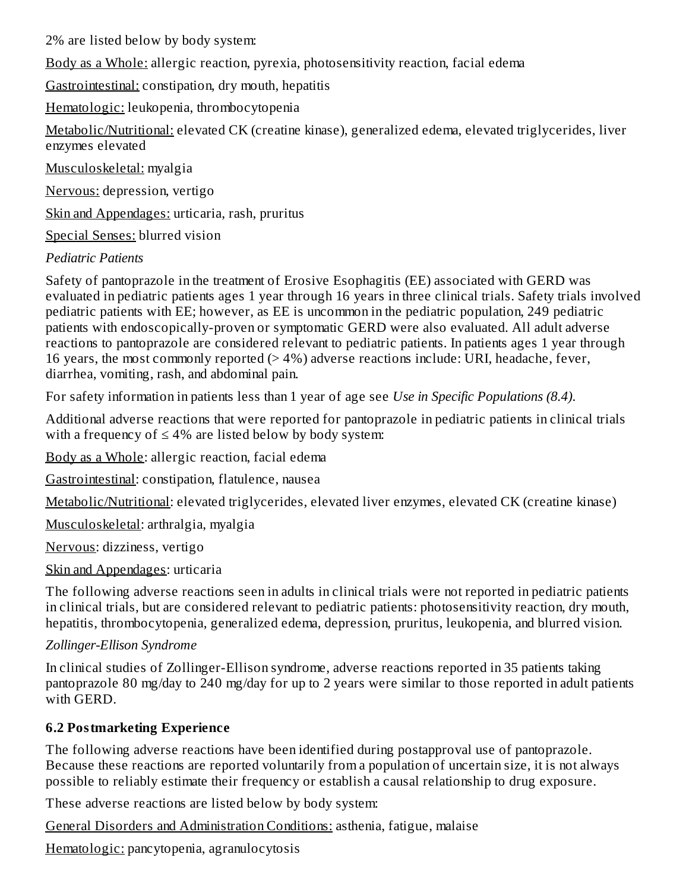2% are listed below by body system:

Body as a Whole: allergic reaction, pyrexia, photosensitivity reaction, facial edema

Gastrointestinal: constipation, dry mouth, hepatitis

Hematologic: leukopenia, thrombocytopenia

Metabolic/Nutritional: elevated CK (creatine kinase), generalized edema, elevated triglycerides, liver enzymes elevated

Musculoskeletal: myalgia

Nervous: depression, vertigo

Skin and Appendages: urticaria, rash, pruritus

Special Senses: blurred vision

*Pediatric Patients*

Safety of pantoprazole in the treatment of Erosive Esophagitis (EE) associated with GERD was evaluated in pediatric patients ages 1 year through 16 years in three clinical trials. Safety trials involved pediatric patients with EE; however, as EE is uncommon in the pediatric population, 249 pediatric patients with endoscopically-proven or symptomatic GERD were also evaluated. All adult adverse reactions to pantoprazole are considered relevant to pediatric patients. In patients ages 1 year through 16 years, the most commonly reported (> 4%) adverse reactions include: URI, headache, fever, diarrhea, vomiting, rash, and abdominal pain.

For safety information in patients less than 1 year of age see *Use in Specific Populations (8.4)*.

Additional adverse reactions that were reported for pantoprazole in pediatric patients in clinical trials with a frequency of  $\leq 4\%$  are listed below by body system:

Body as a Whole: allergic reaction, facial edema

Gastrointestinal: constipation, flatulence, nausea

Metabolic/Nutritional: elevated triglycerides, elevated liver enzymes, elevated CK (creatine kinase)

Musculoskeletal: arthralgia, myalgia

Nervous: dizziness, vertigo

Skin and Appendages: urticaria

The following adverse reactions seen in adults in clinical trials were not reported in pediatric patients in clinical trials, but are considered relevant to pediatric patients: photosensitivity reaction, dry mouth, hepatitis, thrombocytopenia, generalized edema, depression, pruritus, leukopenia, and blurred vision.

*Zollinger-Ellison Syndrome*

In clinical studies of Zollinger-Ellison syndrome, adverse reactions reported in 35 patients taking pantoprazole 80 mg/day to 240 mg/day for up to 2 years were similar to those reported in adult patients with GERD.

# **6.2 Postmarketing Experience**

The following adverse reactions have been identified during postapproval use of pantoprazole. Because these reactions are reported voluntarily from a population of uncertain size, it is not always possible to reliably estimate their frequency or establish a causal relationship to drug exposure.

These adverse reactions are listed below by body system:

General Disorders and Administration Conditions: asthenia, fatigue, malaise

Hematologic: pancytopenia, agranulocytosis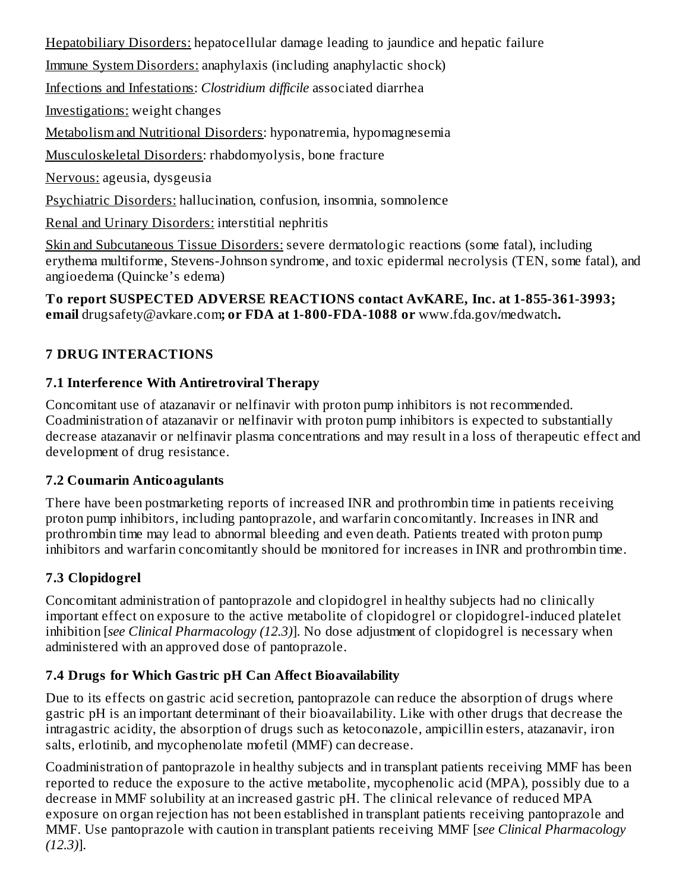Hepatobiliary Disorders: hepatocellular damage leading to jaundice and hepatic failure

Immune System Disorders: anaphylaxis (including anaphylactic shock)

Infections and Infestations: *Clostridium difficile* associated diarrhea

Investigations: weight changes

Metabolism and Nutritional Disorders: hyponatremia, hypomagnesemia

Musculoskeletal Disorders: rhabdomyolysis, bone fracture

Nervous: ageusia, dysgeusia

Psychiatric Disorders: hallucination, confusion, insomnia, somnolence

Renal and Urinary Disorders: interstitial nephritis

Skin and Subcutaneous Tissue Disorders: severe dermatologic reactions (some fatal), including erythema multiforme, Stevens-Johnson syndrome, and toxic epidermal necrolysis (TEN, some fatal), and angioedema (Quincke's edema)

**To report SUSPECTED ADVERSE REACTIONS contact AvKARE, Inc. at 1-855-361-3993; email** drugsafety@avkare.com**; or FDA at 1-800-FDA-1088 or** www.fda.gov/medwatch**.**

### **7 DRUG INTERACTIONS**

### **7.1 Interference With Antiretroviral Therapy**

Concomitant use of atazanavir or nelfinavir with proton pump inhibitors is not recommended. Coadministration of atazanavir or nelfinavir with proton pump inhibitors is expected to substantially decrease atazanavir or nelfinavir plasma concentrations and may result in a loss of therapeutic effect and development of drug resistance.

### **7.2 Coumarin Anticoagulants**

There have been postmarketing reports of increased INR and prothrombin time in patients receiving proton pump inhibitors, including pantoprazole, and warfarin concomitantly. Increases in INR and prothrombin time may lead to abnormal bleeding and even death. Patients treated with proton pump inhibitors and warfarin concomitantly should be monitored for increases in INR and prothrombin time.

### **7.3 Clopidogrel**

Concomitant administration of pantoprazole and clopidogrel in healthy subjects had no clinically important effect on exposure to the active metabolite of clopidogrel or clopidogrel-induced platelet inhibition [*see Clinical Pharmacology (12.3)*]. No dose adjustment of clopidogrel is necessary when administered with an approved dose of pantoprazole.

### **7.4 Drugs for Which Gastric pH Can Affect Bioavailability**

Due to its effects on gastric acid secretion, pantoprazole can reduce the absorption of drugs where gastric pH is an important determinant of their bioavailability. Like with other drugs that decrease the intragastric acidity, the absorption of drugs such as ketoconazole, ampicillin esters, atazanavir, iron salts, erlotinib, and mycophenolate mofetil (MMF) can decrease.

Coadministration of pantoprazole in healthy subjects and in transplant patients receiving MMF has been reported to reduce the exposure to the active metabolite, mycophenolic acid (MPA), possibly due to a decrease in MMF solubility at an increased gastric pH. The clinical relevance of reduced MPA exposure on organ rejection has not been established in transplant patients receiving pantoprazole and MMF. Use pantoprazole with caution in transplant patients receiving MMF [*see Clinical Pharmacology (12.3)*].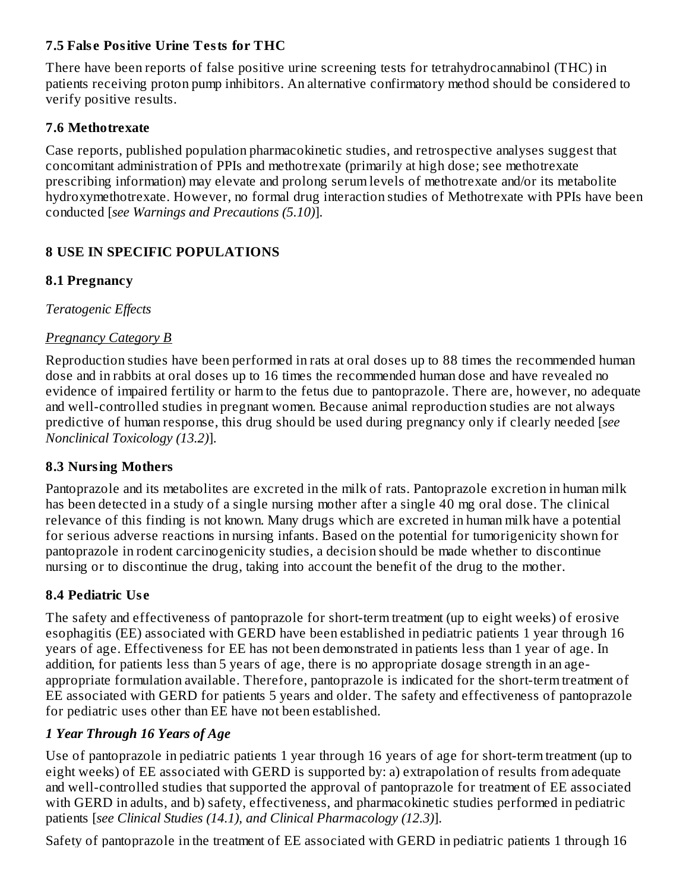#### **7.5 Fals e Positive Urine Tests for THC**

There have been reports of false positive urine screening tests for tetrahydrocannabinol (THC) in patients receiving proton pump inhibitors. An alternative confirmatory method should be considered to verify positive results.

### **7.6 Methotrexate**

Case reports, published population pharmacokinetic studies, and retrospective analyses suggest that concomitant administration of PPIs and methotrexate (primarily at high dose; see methotrexate prescribing information) may elevate and prolong serum levels of methotrexate and/or its metabolite hydroxymethotrexate. However, no formal drug interaction studies of Methotrexate with PPIs have been conducted [*see Warnings and Precautions (5.10)*].

### **8 USE IN SPECIFIC POPULATIONS**

### **8.1 Pregnancy**

*Teratogenic Effects*

### *Pregnancy Category B*

Reproduction studies have been performed in rats at oral doses up to 88 times the recommended human dose and in rabbits at oral doses up to 16 times the recommended human dose and have revealed no evidence of impaired fertility or harm to the fetus due to pantoprazole. There are, however, no adequate and well-controlled studies in pregnant women. Because animal reproduction studies are not always predictive of human response, this drug should be used during pregnancy only if clearly needed [*see Nonclinical Toxicology (13.2)*].

### **8.3 Nursing Mothers**

Pantoprazole and its metabolites are excreted in the milk of rats. Pantoprazole excretion in human milk has been detected in a study of a single nursing mother after a single 40 mg oral dose. The clinical relevance of this finding is not known. Many drugs which are excreted in human milk have a potential for serious adverse reactions in nursing infants. Based on the potential for tumorigenicity shown for pantoprazole in rodent carcinogenicity studies, a decision should be made whether to discontinue nursing or to discontinue the drug, taking into account the benefit of the drug to the mother.

### **8.4 Pediatric Us e**

The safety and effectiveness of pantoprazole for short-term treatment (up to eight weeks) of erosive esophagitis (EE) associated with GERD have been established in pediatric patients 1 year through 16 years of age. Effectiveness for EE has not been demonstrated in patients less than 1 year of age. In addition, for patients less than 5 years of age, there is no appropriate dosage strength in an ageappropriate formulation available. Therefore, pantoprazole is indicated for the short-term treatment of EE associated with GERD for patients 5 years and older. The safety and effectiveness of pantoprazole for pediatric uses other than EE have not been established.

### *1 Year Through 16 Years of Age*

Use of pantoprazole in pediatric patients 1 year through 16 years of age for short-term treatment (up to eight weeks) of EE associated with GERD is supported by: a) extrapolation of results from adequate and well-controlled studies that supported the approval of pantoprazole for treatment of EE associated with GERD in adults, and b) safety, effectiveness, and pharmacokinetic studies performed in pediatric patients [*see Clinical Studies (14.1), and Clinical Pharmacology (12.3)*].

Safety of pantoprazole in the treatment of EE associated with GERD in pediatric patients 1 through 16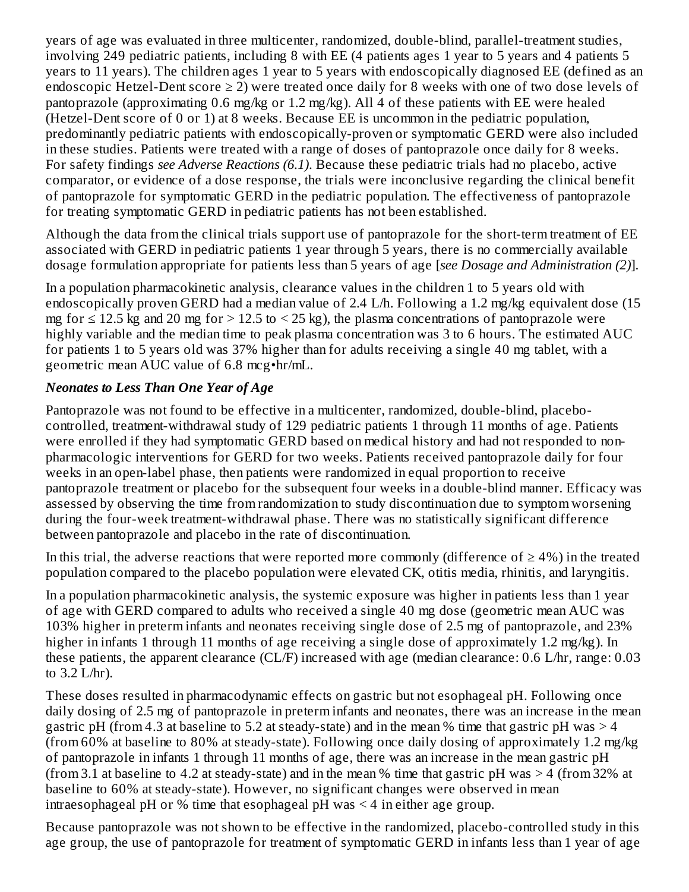years of age was evaluated in three multicenter, randomized, double-blind, parallel-treatment studies, involving 249 pediatric patients, including 8 with EE (4 patients ages 1 year to 5 years and 4 patients 5 years to 11 years). The children ages 1 year to 5 years with endoscopically diagnosed EE (defined as an endoscopic Hetzel-Dent score  $\geq$  2) were treated once daily for 8 weeks with one of two dose levels of pantoprazole (approximating 0.6 mg/kg or 1.2 mg/kg). All 4 of these patients with EE were healed (Hetzel-Dent score of 0 or 1) at 8 weeks. Because EE is uncommon in the pediatric population, predominantly pediatric patients with endoscopically-proven or symptomatic GERD were also included in these studies. Patients were treated with a range of doses of pantoprazole once daily for 8 weeks. For safety findings *see Adverse Reactions (6.1)*. Because these pediatric trials had no placebo, active comparator, or evidence of a dose response, the trials were inconclusive regarding the clinical benefit of pantoprazole for symptomatic GERD in the pediatric population. The effectiveness of pantoprazole for treating symptomatic GERD in pediatric patients has not been established.

Although the data from the clinical trials support use of pantoprazole for the short-term treatment of EE associated with GERD in pediatric patients 1 year through 5 years, there is no commercially available dosage formulation appropriate for patients less than 5 years of age [*see Dosage and Administration (2)*].

In a population pharmacokinetic analysis, clearance values in the children 1 to 5 years old with endoscopically proven GERD had a median value of 2.4 L/h. Following a 1.2 mg/kg equivalent dose (15 mg for  $\leq$  12.5 kg and 20 mg for  $>$  12.5 to  $<$  25 kg), the plasma concentrations of pantoprazole were highly variable and the median time to peak plasma concentration was 3 to 6 hours. The estimated AUC for patients 1 to 5 years old was 37% higher than for adults receiving a single 40 mg tablet, with a geometric mean AUC value of 6.8 mcg•hr/mL.

### *Neonates to Less Than One Year of Age*

Pantoprazole was not found to be effective in a multicenter, randomized, double-blind, placebocontrolled, treatment-withdrawal study of 129 pediatric patients 1 through 11 months of age. Patients were enrolled if they had symptomatic GERD based on medical history and had not responded to nonpharmacologic interventions for GERD for two weeks. Patients received pantoprazole daily for four weeks in an open-label phase, then patients were randomized in equal proportion to receive pantoprazole treatment or placebo for the subsequent four weeks in a double-blind manner. Efficacy was assessed by observing the time from randomization to study discontinuation due to symptom worsening during the four-week treatment-withdrawal phase. There was no statistically significant difference between pantoprazole and placebo in the rate of discontinuation.

In this trial, the adverse reactions that were reported more commonly (difference of  $\geq 4\%$ ) in the treated population compared to the placebo population were elevated CK, otitis media, rhinitis, and laryngitis.

In a population pharmacokinetic analysis, the systemic exposure was higher in patients less than 1 year of age with GERD compared to adults who received a single 40 mg dose (geometric mean AUC was 103% higher in preterm infants and neonates receiving single dose of 2.5 mg of pantoprazole, and 23% higher in infants 1 through 11 months of age receiving a single dose of approximately 1.2 mg/kg). In these patients, the apparent clearance (CL/F) increased with age (median clearance: 0.6 L/hr, range: 0.03 to 3.2 L/hr).

These doses resulted in pharmacodynamic effects on gastric but not esophageal pH. Following once daily dosing of 2.5 mg of pantoprazole in preterm infants and neonates, there was an increase in the mean gastric pH (from 4.3 at baseline to 5.2 at steady-state) and in the mean % time that gastric pH was  $> 4$ (from 60% at baseline to 80% at steady-state). Following once daily dosing of approximately 1.2 mg/kg of pantoprazole in infants 1 through 11 months of age, there was an increase in the mean gastric pH (from 3.1 at baseline to 4.2 at steady-state) and in the mean % time that gastric pH was  $>$  4 (from 32% at baseline to 60% at steady-state). However, no significant changes were observed in mean intraesophageal pH or % time that esophageal pH was < 4 in either age group.

Because pantoprazole was not shown to be effective in the randomized, placebo-controlled study in this age group, the use of pantoprazole for treatment of symptomatic GERD in infants less than 1 year of age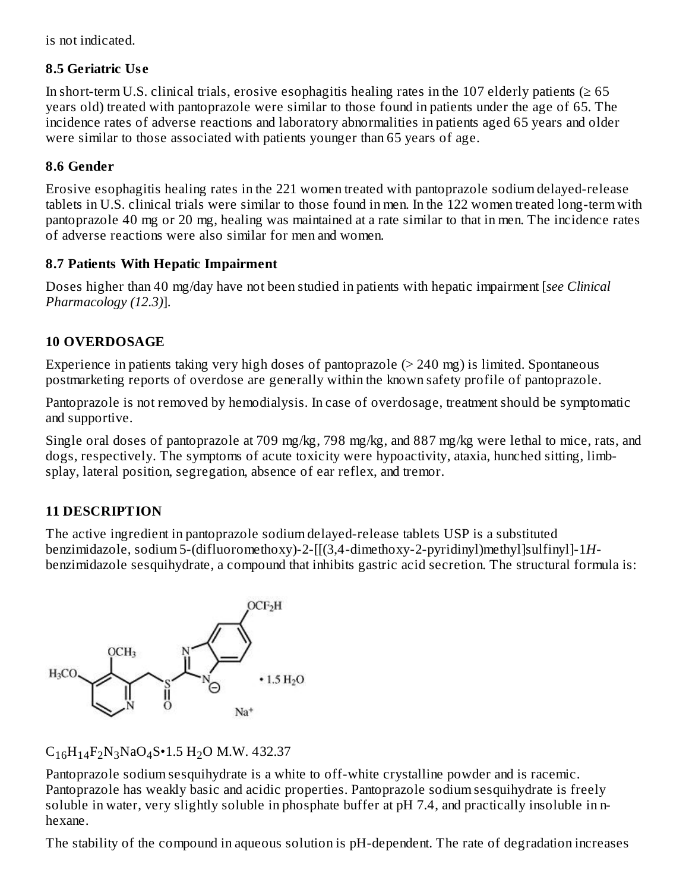is not indicated.

#### **8.5 Geriatric Us e**

In short-term U.S. clinical trials, erosive esophagitis healing rates in the 107 elderly patients ( $\geq 65$ ) years old) treated with pantoprazole were similar to those found in patients under the age of 65. The incidence rates of adverse reactions and laboratory abnormalities in patients aged 65 years and older were similar to those associated with patients younger than 65 years of age.

#### **8.6 Gender**

Erosive esophagitis healing rates in the 221 women treated with pantoprazole sodium delayed-release tablets in U.S. clinical trials were similar to those found in men. In the 122 women treated long-term with pantoprazole 40 mg or 20 mg, healing was maintained at a rate similar to that in men. The incidence rates of adverse reactions were also similar for men and women.

#### **8.7 Patients With Hepatic Impairment**

Doses higher than 40 mg/day have not been studied in patients with hepatic impairment [*see Clinical Pharmacology (12.3)*].

#### **10 OVERDOSAGE**

Experience in patients taking very high doses of pantoprazole (> 240 mg) is limited. Spontaneous postmarketing reports of overdose are generally within the known safety profile of pantoprazole.

Pantoprazole is not removed by hemodialysis. In case of overdosage, treatment should be symptomatic and supportive.

Single oral doses of pantoprazole at 709 mg/kg, 798 mg/kg, and 887 mg/kg were lethal to mice, rats, and dogs, respectively. The symptoms of acute toxicity were hypoactivity, ataxia, hunched sitting, limbsplay, lateral position, segregation, absence of ear reflex, and tremor.

#### **11 DESCRIPTION**

The active ingredient in pantoprazole sodium delayed-release tablets USP is a substituted benzimidazole, sodium 5-(difluoromethoxy)-2-[[(3,4-dimethoxy-2-pyridinyl)methyl]sulfinyl]-1*H*benzimidazole sesquihydrate, a compound that inhibits gastric acid secretion. The structural formula is:



 $C_{16}H_{14}F_2N_3NaO_4S\cdot 1.5 H_2O$  M.W. 432.37

Pantoprazole sodium sesquihydrate is a white to off-white crystalline powder and is racemic. Pantoprazole has weakly basic and acidic properties. Pantoprazole sodium sesquihydrate is freely soluble in water, very slightly soluble in phosphate buffer at pH 7.4, and practically insoluble in nhexane.

The stability of the compound in aqueous solution is pH-dependent. The rate of degradation increases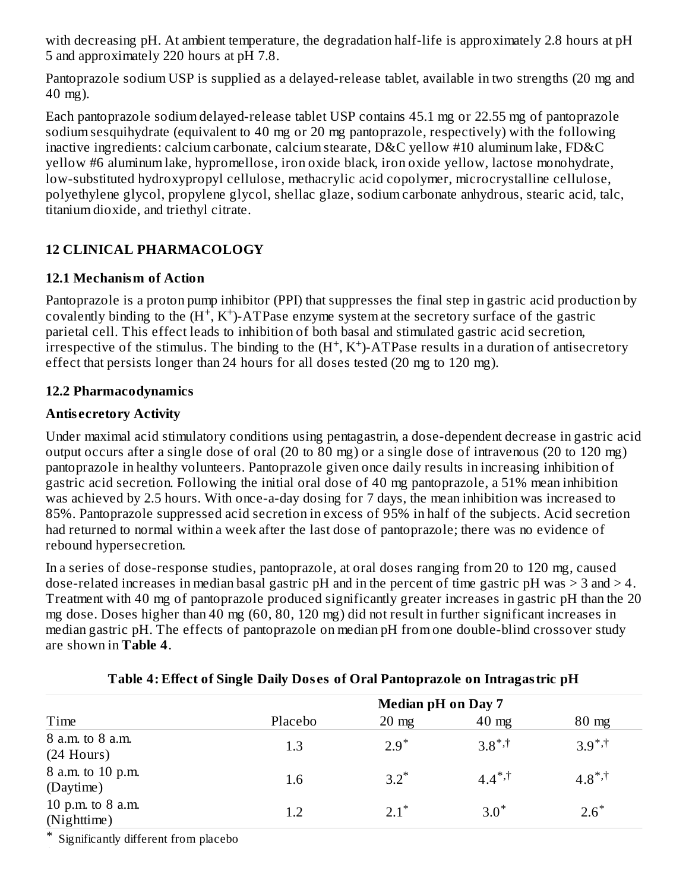with decreasing pH. At ambient temperature, the degradation half-life is approximately 2.8 hours at pH 5 and approximately 220 hours at pH 7.8.

Pantoprazole sodium USP is supplied as a delayed-release tablet, available in two strengths (20 mg and 40 mg).

Each pantoprazole sodium delayed-release tablet USP contains 45.1 mg or 22.55 mg of pantoprazole sodium sesquihydrate (equivalent to 40 mg or 20 mg pantoprazole, respectively) with the following inactive ingredients: calcium carbonate, calcium stearate, D&C yellow #10 aluminum lake, FD&C yellow #6 aluminum lake, hypromellose, iron oxide black, iron oxide yellow, lactose monohydrate, low-substituted hydroxypropyl cellulose, methacrylic acid copolymer, microcrystalline cellulose, polyethylene glycol, propylene glycol, shellac glaze, sodium carbonate anhydrous, stearic acid, talc, titanium dioxide, and triethyl citrate.

### **12 CLINICAL PHARMACOLOGY**

### **12.1 Mechanism of Action**

Pantoprazole is a proton pump inhibitor (PPI) that suppresses the final step in gastric acid production by covalently binding to the  $(H^+, K^+)$ -ATPase enzyme system at the secretory surface of the gastric parietal cell. This effect leads to inhibition of both basal and stimulated gastric acid secretion, irrespective of the stimulus. The binding to the  $(H^+, K^+)$ -ATPase results in a duration of antisecretory effect that persists longer than 24 hours for all doses tested (20 mg to 120 mg).

### **12.2 Pharmacodynamics**

### **Antis ecretory Activity**

Under maximal acid stimulatory conditions using pentagastrin, a dose-dependent decrease in gastric acid output occurs after a single dose of oral (20 to 80 mg) or a single dose of intravenous (20 to 120 mg) pantoprazole in healthy volunteers. Pantoprazole given once daily results in increasing inhibition of gastric acid secretion. Following the initial oral dose of 40 mg pantoprazole, a 51% mean inhibition was achieved by 2.5 hours. With once-a-day dosing for 7 days, the mean inhibition was increased to 85%. Pantoprazole suppressed acid secretion in excess of 95% in half of the subjects. Acid secretion had returned to normal within a week after the last dose of pantoprazole; there was no evidence of rebound hypersecretion.

In a series of dose-response studies, pantoprazole, at oral doses ranging from 20 to 120 mg, caused dose-related increases in median basal gastric pH and in the percent of time gastric pH was  $> 3$  and  $> 4$ . Treatment with 40 mg of pantoprazole produced significantly greater increases in gastric pH than the 20 mg dose. Doses higher than 40 mg (60, 80, 120 mg) did not result in further significant increases in median gastric pH. The effects of pantoprazole on median pH from one double-blind crossover study are shown in **Table 4**.

|                                    | <b>Median pH</b> on Day 7 |                 |                 |                 |
|------------------------------------|---------------------------|-----------------|-----------------|-----------------|
| Time                               | Placebo                   | $20 \text{ mg}$ | $40 \text{ mg}$ | $80 \text{ mg}$ |
| 8 a.m. to 8 a.m.<br>$(24$ Hours)   | 1.3                       | $2.9*$          | $3.8^{*,+}$     | $3.9^{*,+}$     |
| 8 a.m. to 10 p.m.<br>(Daytime)     | 1.6                       | $3.2^*$         | $4.4^{*,+}$     | $4.8^*$ , †     |
| 10 p.m. to $8$ a.m.<br>(Nighttime) | 1.2                       | $2.1^*$         | $3.0*$          | $2.6*$          |

#### **Table 4: Effect of Single Daily Dos es of Oral Pantoprazole on Intragastric pH**

\* Significantly different from placebo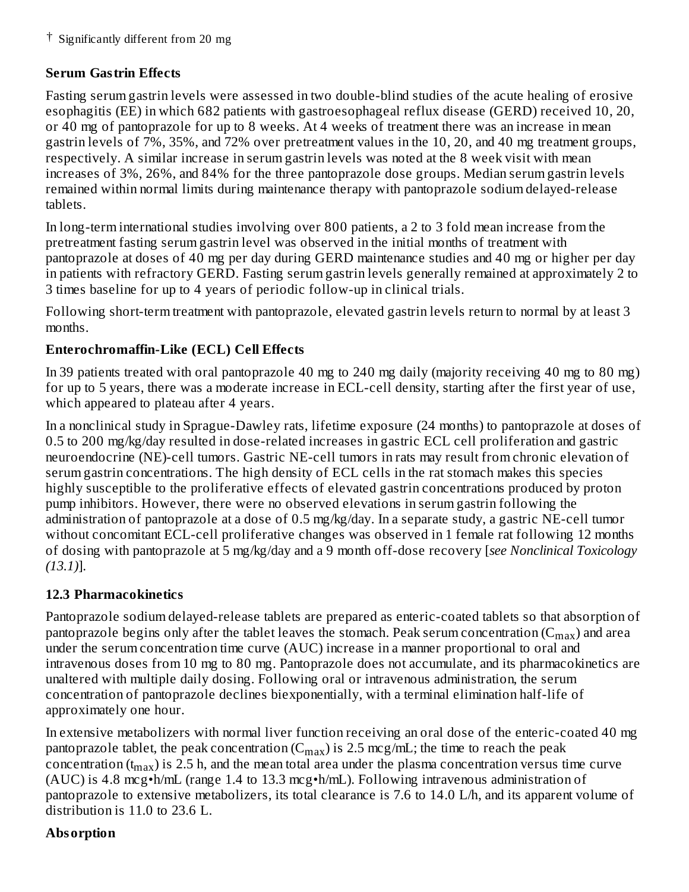# **Serum Gastrin Effects**

Fasting serum gastrin levels were assessed in two double-blind studies of the acute healing of erosive esophagitis (EE) in which 682 patients with gastroesophageal reflux disease (GERD) received 10, 20, or 40 mg of pantoprazole for up to 8 weeks. At 4 weeks of treatment there was an increase in mean gastrin levels of 7%, 35%, and 72% over pretreatment values in the 10, 20, and 40 mg treatment groups, respectively. A similar increase in serum gastrin levels was noted at the 8 week visit with mean increases of 3%, 26%, and 84% for the three pantoprazole dose groups. Median serum gastrin levels remained within normal limits during maintenance therapy with pantoprazole sodium delayed-release tablets.

In long-term international studies involving over 800 patients, a 2 to 3 fold mean increase from the pretreatment fasting serum gastrin level was observed in the initial months of treatment with pantoprazole at doses of 40 mg per day during GERD maintenance studies and 40 mg or higher per day in patients with refractory GERD. Fasting serum gastrin levels generally remained at approximately 2 to 3 times baseline for up to 4 years of periodic follow-up in clinical trials.

Following short-term treatment with pantoprazole, elevated gastrin levels return to normal by at least 3 months.

# **Enterochromaffin-Like (ECL) Cell Effects**

In 39 patients treated with oral pantoprazole 40 mg to 240 mg daily (majority receiving 40 mg to 80 mg) for up to 5 years, there was a moderate increase in ECL-cell density, starting after the first year of use, which appeared to plateau after 4 years.

In a nonclinical study in Sprague-Dawley rats, lifetime exposure (24 months) to pantoprazole at doses of 0.5 to 200 mg/kg/day resulted in dose-related increases in gastric ECL cell proliferation and gastric neuroendocrine (NE)-cell tumors. Gastric NE-cell tumors in rats may result from chronic elevation of serum gastrin concentrations. The high density of ECL cells in the rat stomach makes this species highly susceptible to the proliferative effects of elevated gastrin concentrations produced by proton pump inhibitors. However, there were no observed elevations in serum gastrin following the administration of pantoprazole at a dose of 0.5 mg/kg/day. In a separate study, a gastric NE-cell tumor without concomitant ECL-cell proliferative changes was observed in 1 female rat following 12 months of dosing with pantoprazole at 5 mg/kg/day and a 9 month off-dose recovery [*see Nonclinical Toxicology (13.1)*].

# **12.3 Pharmacokinetics**

Pantoprazole sodium delayed-release tablets are prepared as enteric-coated tablets so that absorption of pantoprazole begins only after the tablet leaves the stomach. Peak serum concentration ( $\rm C_{max}$ ) and area under the serum concentration time curve (AUC) increase in a manner proportional to oral and intravenous doses from 10 mg to 80 mg. Pantoprazole does not accumulate, and its pharmacokinetics are unaltered with multiple daily dosing. Following oral or intravenous administration, the serum concentration of pantoprazole declines biexponentially, with a terminal elimination half-life of approximately one hour.

In extensive metabolizers with normal liver function receiving an oral dose of the enteric-coated 40 mg pantoprazole tablet, the peak concentration ( $C_{max}$ ) is 2.5 mcg/mL; the time to reach the peak concentration (t<sub>max</sub>) is 2.5 h, and the mean total area under the plasma concentration versus time curve (AUC) is 4.8 mcg•h/mL (range 1.4 to 13.3 mcg•h/mL). Following intravenous administration of pantoprazole to extensive metabolizers, its total clearance is 7.6 to 14.0 L/h, and its apparent volume of distribution is 11.0 to 23.6 L.

# **Absorption**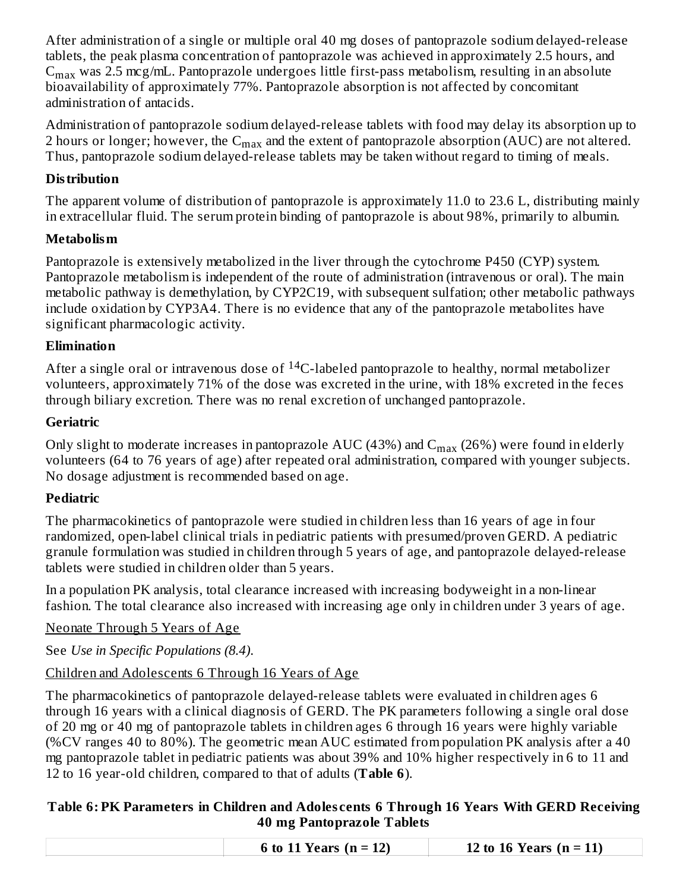After administration of a single or multiple oral 40 mg doses of pantoprazole sodium delayed-release tablets, the peak plasma concentration of pantoprazole was achieved in approximately 2.5 hours, and  $\rm{C_{max}}$  was 2.5 mcg/mL. Pantoprazole undergoes little first-pass metabolism, resulting in an absolute bioavailability of approximately 77%. Pantoprazole absorption is not affected by concomitant administration of antacids.

Administration of pantoprazole sodium delayed-release tablets with food may delay its absorption up to 2 hours or longer; however, the  $\rm{C_{max}}$  and the extent of pantoprazole absorption (AUC) are not altered. Thus, pantoprazole sodium delayed-release tablets may be taken without regard to timing of meals.

### **Distribution**

The apparent volume of distribution of pantoprazole is approximately 11.0 to 23.6 L, distributing mainly in extracellular fluid. The serum protein binding of pantoprazole is about 98%, primarily to albumin.

### **Metabolism**

Pantoprazole is extensively metabolized in the liver through the cytochrome P450 (CYP) system. Pantoprazole metabolism is independent of the route of administration (intravenous or oral). The main metabolic pathway is demethylation, by CYP2C19, with subsequent sulfation; other metabolic pathways include oxidation by CYP3A4. There is no evidence that any of the pantoprazole metabolites have significant pharmacologic activity.

### **Elimination**

After a single oral or intravenous dose of  $^{14}$ C-labeled pantoprazole to healthy, normal metabolizer volunteers, approximately 71% of the dose was excreted in the urine, with 18% excreted in the feces through biliary excretion. There was no renal excretion of unchanged pantoprazole.

### **Geriatric**

Only slight to moderate increases in pantoprazole  $\rm AUC$  (43%) and  $\rm C_{max}$  (26%) were found in elderly volunteers (64 to 76 years of age) after repeated oral administration, compared with younger subjects. No dosage adjustment is recommended based on age.

### **Pediatric**

The pharmacokinetics of pantoprazole were studied in children less than 16 years of age in four randomized, open-label clinical trials in pediatric patients with presumed/proven GERD. A pediatric granule formulation was studied in children through 5 years of age, and pantoprazole delayed-release tablets were studied in children older than 5 years.

In a population PK analysis, total clearance increased with increasing bodyweight in a non-linear fashion. The total clearance also increased with increasing age only in children under 3 years of age.

Neonate Through 5 Years of Age

See *Use in Specific Populations (8.4)*.

Children and Adolescents 6 Through 16 Years of Age

The pharmacokinetics of pantoprazole delayed-release tablets were evaluated in children ages 6 through 16 years with a clinical diagnosis of GERD. The PK parameters following a single oral dose of 20 mg or 40 mg of pantoprazole tablets in children ages 6 through 16 years were highly variable (%CV ranges 40 to 80%). The geometric mean AUC estimated from population PK analysis after a 40 mg pantoprazole tablet in pediatric patients was about 39% and 10% higher respectively in 6 to 11 and 12 to 16 year-old children, compared to that of adults (**Table 6**).

#### **Table 6: PK Parameters in Children and Adoles cents 6 Through 16 Years With GERD Receiving 40 mg Pantoprazole Tablets**

| $V\rho$ ars (n = $\mu$ )<br>$\mathsf{ans}$ (n = 12)<br>12 to<br>6 to |  |  |
|----------------------------------------------------------------------|--|--|
|                                                                      |  |  |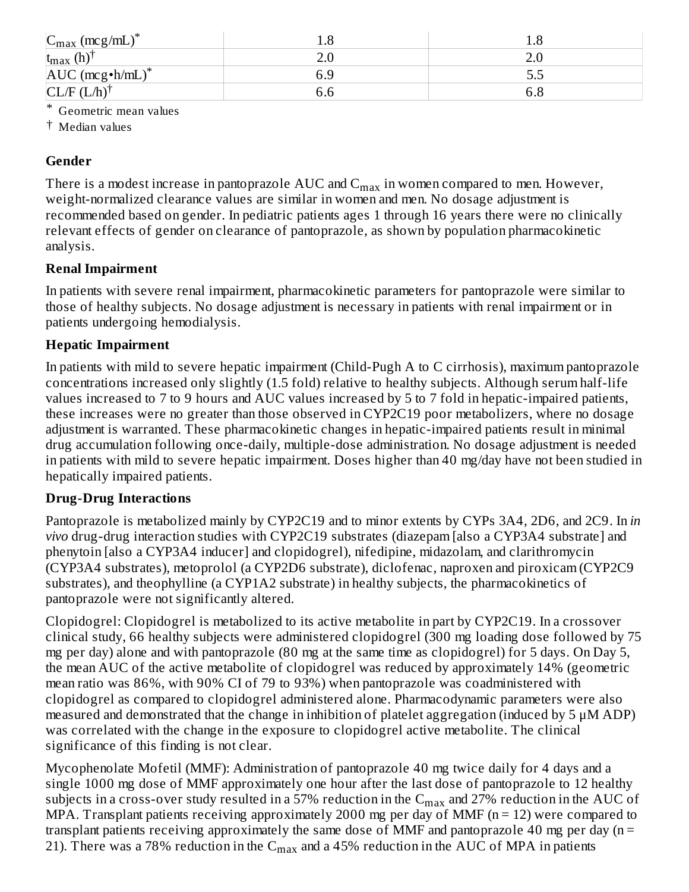| $C_{\text{max}}$ (mcg/mL) <sup>*</sup> |     |        |
|----------------------------------------|-----|--------|
| $t_{\text{max}}$ (h) <sup>†</sup>      | 2.J |        |
| AUC (mcg·h/mL)*                        | 6.Y | ا • آب |
| $CL/F (L/h)$ <sup>†</sup>              | b.c |        |

\* Geometric mean values

† Median values

### **Gender**

There is a modest increase in pantoprazole  $\mathop{\rm AUC}\nolimits$  and  $\mathop{\rm C_{max}}\nolimits$  in women compared to men. However, weight-normalized clearance values are similar in women and men. No dosage adjustment is recommended based on gender. In pediatric patients ages 1 through 16 years there were no clinically relevant effects of gender on clearance of pantoprazole, as shown by population pharmacokinetic analysis.

### **Renal Impairment**

In patients with severe renal impairment, pharmacokinetic parameters for pantoprazole were similar to those of healthy subjects. No dosage adjustment is necessary in patients with renal impairment or in patients undergoing hemodialysis.

#### **Hepatic Impairment**

In patients with mild to severe hepatic impairment (Child-Pugh A to C cirrhosis), maximum pantoprazole concentrations increased only slightly (1.5 fold) relative to healthy subjects. Although serum half-life values increased to 7 to 9 hours and AUC values increased by 5 to 7 fold in hepatic-impaired patients, these increases were no greater than those observed in CYP2C19 poor metabolizers, where no dosage adjustment is warranted. These pharmacokinetic changes in hepatic-impaired patients result in minimal drug accumulation following once-daily, multiple-dose administration. No dosage adjustment is needed in patients with mild to severe hepatic impairment. Doses higher than 40 mg/day have not been studied in hepatically impaired patients.

### **Drug-Drug Interactions**

Pantoprazole is metabolized mainly by CYP2C19 and to minor extents by CYPs 3A4, 2D6, and 2C9. In *in vivo* drug-drug interaction studies with CYP2C19 substrates (diazepam [also a CYP3A4 substrate] and phenytoin [also a CYP3A4 inducer] and clopidogrel), nifedipine, midazolam, and clarithromycin (CYP3A4 substrates), metoprolol (a CYP2D6 substrate), diclofenac, naproxen and piroxicam (CYP2C9 substrates), and theophylline (a CYP1A2 substrate) in healthy subjects, the pharmacokinetics of pantoprazole were not significantly altered.

Clopidogrel: Clopidogrel is metabolized to its active metabolite in part by CYP2C19. In a crossover clinical study, 66 healthy subjects were administered clopidogrel (300 mg loading dose followed by 75 mg per day) alone and with pantoprazole (80 mg at the same time as clopidogrel) for 5 days. On Day 5, the mean AUC of the active metabolite of clopidogrel was reduced by approximately 14% (geometric mean ratio was 86%, with 90% CI of 79 to 93%) when pantoprazole was coadministered with clopidogrel as compared to clopidogrel administered alone. Pharmacodynamic parameters were also measured and demonstrated that the change in inhibition of platelet aggregation (induced by 5 μM ADP) was correlated with the change in the exposure to clopidogrel active metabolite. The clinical significance of this finding is not clear.

Mycophenolate Mofetil (MMF): Administration of pantoprazole 40 mg twice daily for 4 days and a single 1000 mg dose of MMF approximately one hour after the last dose of pantoprazole to 12 healthy subjects in a cross-over study resulted in a 57% reduction in the  $\rm{C_{max}}$  and 27% reduction in the  $\rm{AUC}$  of MPA. Transplant patients receiving approximately 2000 mg per day of MMF ( $n = 12$ ) were compared to transplant patients receiving approximately the same dose of MMF and pantoprazole 40 mg per day ( $n =$ 21). There was a 78% reduction in the  $\rm{C_{max}}$  and a 45% reduction in the AUC of MPA in patients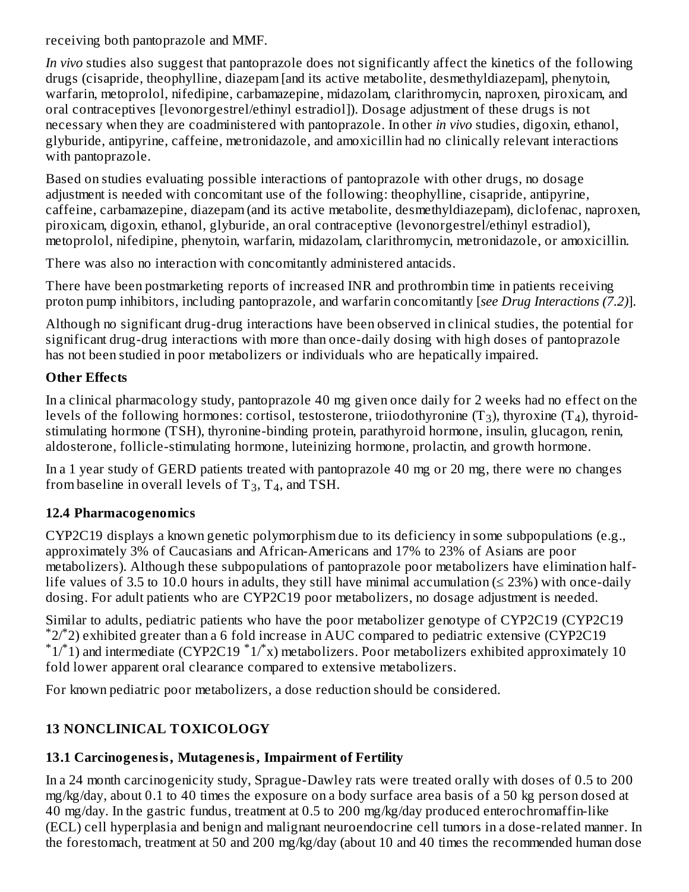receiving both pantoprazole and MMF.

*In vivo* studies also suggest that pantoprazole does not significantly affect the kinetics of the following drugs (cisapride, theophylline, diazepam [and its active metabolite, desmethyldiazepam], phenytoin, warfarin, metoprolol, nifedipine, carbamazepine, midazolam, clarithromycin, naproxen, piroxicam, and oral contraceptives [levonorgestrel/ethinyl estradiol]). Dosage adjustment of these drugs is not necessary when they are coadministered with pantoprazole. In other *in vivo* studies, digoxin, ethanol, glyburide, antipyrine, caffeine, metronidazole, and amoxicillin had no clinically relevant interactions with pantoprazole.

...<sub>...</sub>.

Based on studies evaluating possible interactions of pantoprazole with other drugs, no dosage adjustment is needed with concomitant use of the following: theophylline, cisapride, antipyrine, caffeine, carbamazepine, diazepam (and its active metabolite, desmethyldiazepam), diclofenac, naproxen, piroxicam, digoxin, ethanol, glyburide, an oral contraceptive (levonorgestrel/ethinyl estradiol), metoprolol, nifedipine, phenytoin, warfarin, midazolam, clarithromycin, metronidazole, or amoxicillin.

There was also no interaction with concomitantly administered antacids.

There have been postmarketing reports of increased INR and prothrombin time in patients receiving proton pump inhibitors, including pantoprazole, and warfarin concomitantly [*see Drug Interactions (7.2)*].

Although no significant drug-drug interactions have been observed in clinical studies, the potential for significant drug-drug interactions with more than once-daily dosing with high doses of pantoprazole has not been studied in poor metabolizers or individuals who are hepatically impaired.

### **Other Effects**

In a clinical pharmacology study, pantoprazole 40 mg given once daily for 2 weeks had no effect on the levels of the following hormones: cortisol, testosterone, triiodothyronine (T<sub>3</sub>), thyroxine (T<sub>4</sub>), thyroidstimulating hormone (TSH), thyronine-binding protein, parathyroid hormone, insulin, glucagon, renin, aldosterone, follicle-stimulating hormone, luteinizing hormone, prolactin, and growth hormone.

In a 1 year study of GERD patients treated with pantoprazole 40 mg or 20 mg, there were no changes from baseline in overall levels of  $T_3$ ,  $T_4$ , and TSH.

### **12.4 Pharmacogenomics**

CYP2C19 displays a known genetic polymorphism due to its deficiency in some subpopulations (e.g., approximately 3% of Caucasians and African-Americans and 17% to 23% of Asians are poor metabolizers). Although these subpopulations of pantoprazole poor metabolizers have elimination halflife values of 3.5 to 10.0 hours in adults, they still have minimal accumulation ( $\leq$  23%) with once-daily dosing. For adult patients who are CYP2C19 poor metabolizers, no dosage adjustment is needed.

Similar to adults, pediatric patients who have the poor metabolizer genotype of CYP2C19 (CYP2C19  $2$ <sup>\*</sup>2)<sup>\*</sup>2) exhibited greater than a 6 fold increase in AUC compared to pediatric extensive (CYP2C19)  $1/2$ ) and intermediate (CYP2C19  $1/2$ ) metabolizers. Poor metabolizers exhibited approximately 10 fold lower apparent oral clearance compared to extensive metabolizers.

For known pediatric poor metabolizers, a dose reduction should be considered.

### **13 NONCLINICAL TOXICOLOGY**

### **13.1 Carcinogenesis, Mutagenesis, Impairment of Fertility**

In a 24 month carcinogenicity study, Sprague-Dawley rats were treated orally with doses of 0.5 to 200 mg/kg/day, about 0.1 to 40 times the exposure on a body surface area basis of a 50 kg person dosed at 40 mg/day. In the gastric fundus, treatment at 0.5 to 200 mg/kg/day produced enterochromaffin-like (ECL) cell hyperplasia and benign and malignant neuroendocrine cell tumors in a dose-related manner. In the forestomach, treatment at 50 and 200 mg/kg/day (about 10 and 40 times the recommended human dose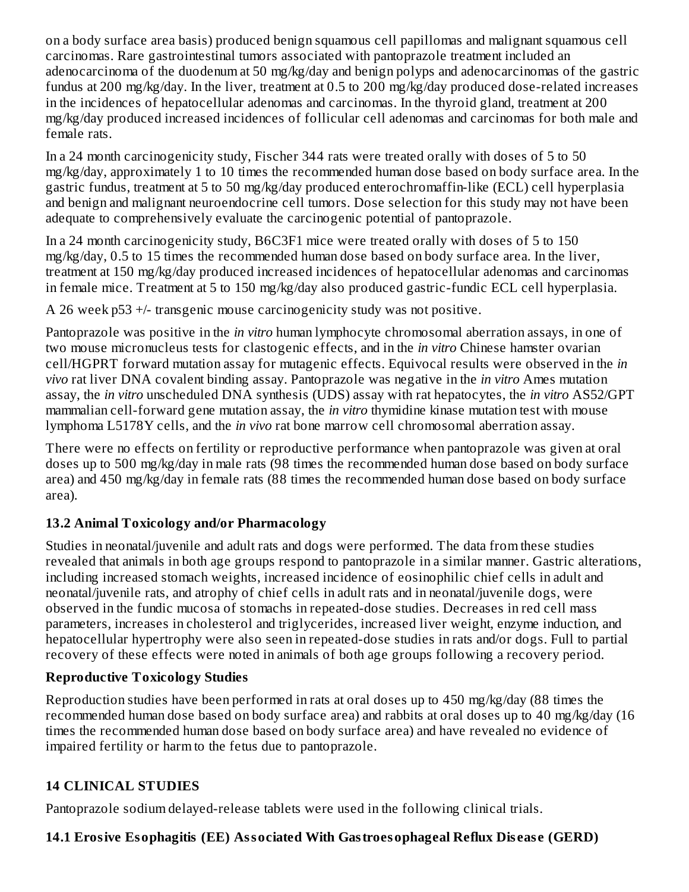on a body surface area basis) produced benign squamous cell papillomas and malignant squamous cell carcinomas. Rare gastrointestinal tumors associated with pantoprazole treatment included an adenocarcinoma of the duodenum at 50 mg/kg/day and benign polyps and adenocarcinomas of the gastric fundus at 200 mg/kg/day. In the liver, treatment at 0.5 to 200 mg/kg/day produced dose-related increases in the incidences of hepatocellular adenomas and carcinomas. In the thyroid gland, treatment at 200 mg/kg/day produced increased incidences of follicular cell adenomas and carcinomas for both male and female rats.

In a 24 month carcinogenicity study, Fischer 344 rats were treated orally with doses of 5 to 50 mg/kg/day, approximately 1 to 10 times the recommended human dose based on body surface area. In the gastric fundus, treatment at 5 to 50 mg/kg/day produced enterochromaffin-like (ECL) cell hyperplasia and benign and malignant neuroendocrine cell tumors. Dose selection for this study may not have been adequate to comprehensively evaluate the carcinogenic potential of pantoprazole.

In a 24 month carcinogenicity study, B6C3F1 mice were treated orally with doses of 5 to 150 mg/kg/day, 0.5 to 15 times the recommended human dose based on body surface area. In the liver, treatment at 150 mg/kg/day produced increased incidences of hepatocellular adenomas and carcinomas in female mice. Treatment at 5 to 150 mg/kg/day also produced gastric-fundic ECL cell hyperplasia.

A 26 week p53 +/- transgenic mouse carcinogenicity study was not positive.

Pantoprazole was positive in the *in vitro* human lymphocyte chromosomal aberration assays, in one of two mouse micronucleus tests for clastogenic effects, and in the *in vitro* Chinese hamster ovarian cell/HGPRT forward mutation assay for mutagenic effects. Equivocal results were observed in the *in vivo* rat liver DNA covalent binding assay. Pantoprazole was negative in the *in vitro* Ames mutation assay, the *in vitro* unscheduled DNA synthesis (UDS) assay with rat hepatocytes, the *in vitro* AS52/GPT mammalian cell-forward gene mutation assay, the *in vitro* thymidine kinase mutation test with mouse lymphoma L5178Y cells, and the *in vivo* rat bone marrow cell chromosomal aberration assay.

There were no effects on fertility or reproductive performance when pantoprazole was given at oral doses up to 500 mg/kg/day in male rats (98 times the recommended human dose based on body surface area) and 450 mg/kg/day in female rats (88 times the recommended human dose based on body surface area).

### **13.2 Animal Toxicology and/or Pharmacology**

Studies in neonatal/juvenile and adult rats and dogs were performed. The data from these studies revealed that animals in both age groups respond to pantoprazole in a similar manner. Gastric alterations, including increased stomach weights, increased incidence of eosinophilic chief cells in adult and neonatal/juvenile rats, and atrophy of chief cells in adult rats and in neonatal/juvenile dogs, were observed in the fundic mucosa of stomachs in repeated-dose studies. Decreases in red cell mass parameters, increases in cholesterol and triglycerides, increased liver weight, enzyme induction, and hepatocellular hypertrophy were also seen in repeated-dose studies in rats and/or dogs. Full to partial recovery of these effects were noted in animals of both age groups following a recovery period.

### **Reproductive Toxicology Studies**

Reproduction studies have been performed in rats at oral doses up to 450 mg/kg/day (88 times the recommended human dose based on body surface area) and rabbits at oral doses up to 40 mg/kg/day (16 times the recommended human dose based on body surface area) and have revealed no evidence of impaired fertility or harm to the fetus due to pantoprazole.

### **14 CLINICAL STUDIES**

Pantoprazole sodium delayed-release tablets were used in the following clinical trials.

### **14.1 Erosive Esophagitis (EE) Associated With Gastroesophageal Reflux Dis eas e (GERD)**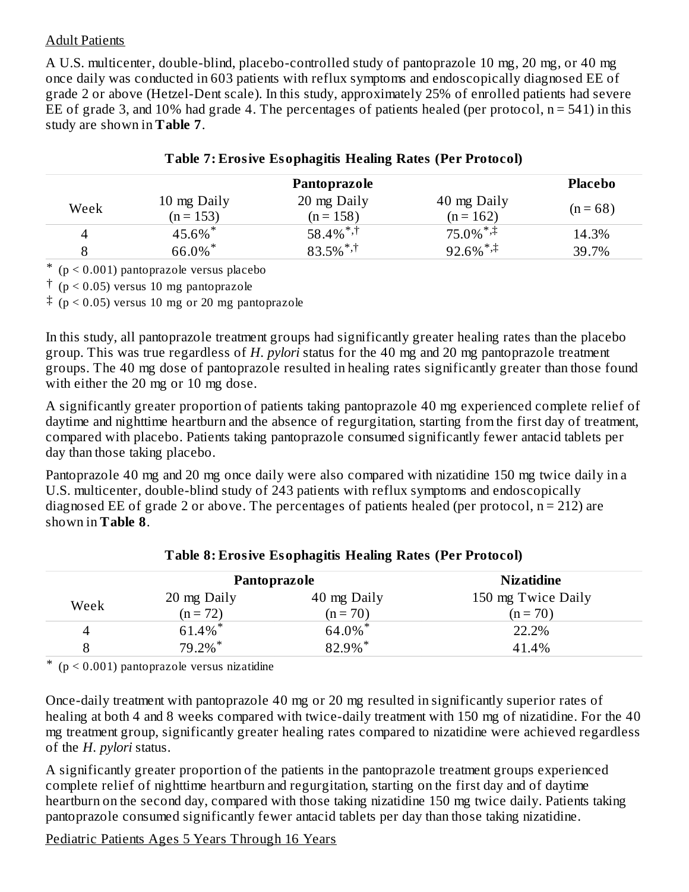#### Adult Patients

A U.S. multicenter, double-blind, placebo-controlled study of pantoprazole 10 mg, 20 mg, or 40 mg once daily was conducted in 603 patients with reflux symptoms and endoscopically diagnosed EE of grade 2 or above (Hetzel-Dent scale). In this study, approximately 25% of enrolled patients had severe EE of grade 3, and 10% had grade 4. The percentages of patients healed (per protocol,  $n = 541$ ) in this study are shown in **Table 7**.

|      |                            | Pantoprazole               |                                           | Placebo    |
|------|----------------------------|----------------------------|-------------------------------------------|------------|
| Week | 10 mg Daily<br>$(n = 153)$ | 20 mg Daily<br>$(n = 158)$ | 40 mg Daily<br>$(n = 162)$                | $(n = 68)$ |
| 4    | 45.6%*                     | $58.4\%$ <sup>*,†</sup>    | $75.0\%$ $\overset{*,\pm}\longrightarrow$ | 14.3%      |
| 8    | 66.0%*                     | $83.5\%$ <sup>*,†</sup>    | $92.6\%$ <sup>*,‡</sup>                   | 39.7%      |

|  |  | Table 7: Erosive Esophagitis Healing Rates (Per Protocol) |
|--|--|-----------------------------------------------------------|
|  |  |                                                           |

 $*$  (p < 0.001) pantoprazole versus placebo

† (p < 0.05) versus 10 mg pantoprazole

‡ (p < 0.05) versus 10 mg or 20 mg pantoprazole

In this study, all pantoprazole treatment groups had significantly greater healing rates than the placebo group. This was true regardless of *H. pylori* status for the 40 mg and 20 mg pantoprazole treatment groups. The 40 mg dose of pantoprazole resulted in healing rates significantly greater than those found with either the 20 mg or 10 mg dose.

A significantly greater proportion of patients taking pantoprazole 40 mg experienced complete relief of daytime and nighttime heartburn and the absence of regurgitation, starting from the first day of treatment, compared with placebo. Patients taking pantoprazole consumed significantly fewer antacid tablets per day than those taking placebo.

Pantoprazole 40 mg and 20 mg once daily were also compared with nizatidine 150 mg twice daily in a U.S. multicenter, double-blind study of 243 patients with reflux symptoms and endoscopically diagnosed EE of grade 2 or above. The percentages of patients healed (per protocol,  $n = 212$ ) are shown in **Table 8**.

|      | Pantoprazole |                       | <b>Nizatidine</b>  |
|------|--------------|-----------------------|--------------------|
| Week | 20 mg Daily  | 40 mg Daily           | 150 mg Twice Daily |
|      | $(n = 72)$   | $(n = 70)$            | $(n = 70)$         |
|      | 61.4%*       | 64.0%*                | 22.2%              |
|      | 79.2%*       | $82.9\%$ <sup>*</sup> | 41.4%              |

### **Table 8: Erosive Esophagitis Healing Rates (Per Protocol)**

 $*$  ( $p < 0.001$ ) pantoprazole versus nizatidine

Once-daily treatment with pantoprazole 40 mg or 20 mg resulted in significantly superior rates of healing at both 4 and 8 weeks compared with twice-daily treatment with 150 mg of nizatidine. For the 40 mg treatment group, significantly greater healing rates compared to nizatidine were achieved regardless of the *H. pylori* status.

A significantly greater proportion of the patients in the pantoprazole treatment groups experienced complete relief of nighttime heartburn and regurgitation, starting on the first day and of daytime heartburn on the second day, compared with those taking nizatidine 150 mg twice daily. Patients taking pantoprazole consumed significantly fewer antacid tablets per day than those taking nizatidine.

Pediatric Patients Ages 5 Years Through 16 Years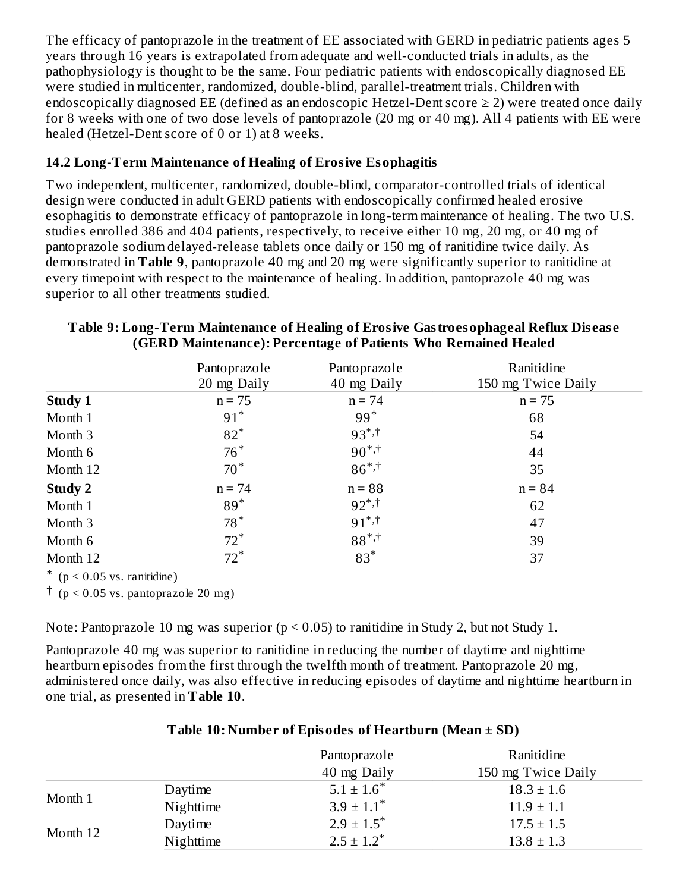The efficacy of pantoprazole in the treatment of EE associated with GERD in pediatric patients ages 5 years through 16 years is extrapolated from adequate and well-conducted trials in adults, as the pathophysiology is thought to be the same. Four pediatric patients with endoscopically diagnosed EE were studied in multicenter, randomized, double-blind, parallel-treatment trials. Children with endoscopically diagnosed EE (defined as an endoscopic Hetzel-Dent score  $\geq$  2) were treated once daily for 8 weeks with one of two dose levels of pantoprazole (20 mg or 40 mg). All 4 patients with EE were healed (Hetzel-Dent score of 0 or 1) at 8 weeks.

### **14.2 Long-Term Maintenance of Healing of Erosive Esophagitis**

Two independent, multicenter, randomized, double-blind, comparator-controlled trials of identical design were conducted in adult GERD patients with endoscopically confirmed healed erosive esophagitis to demonstrate efficacy of pantoprazole in long-term maintenance of healing. The two U.S. studies enrolled 386 and 404 patients, respectively, to receive either 10 mg, 20 mg, or 40 mg of pantoprazole sodium delayed-release tablets once daily or 150 mg of ranitidine twice daily. As demonstrated in **Table 9**, pantoprazole 40 mg and 20 mg were significantly superior to ranitidine at every timepoint with respect to the maintenance of healing. In addition, pantoprazole 40 mg was superior to all other treatments studied.

|          | Pantoprazole | Pantoprazole | Ranitidine         |
|----------|--------------|--------------|--------------------|
|          | 20 mg Daily  | 40 mg Daily  | 150 mg Twice Daily |
| Study 1  | $n = 75$     | $n = 74$     | $n = 75$           |
| Month 1  | $91*$        | $99*$        | 68                 |
| Month 3  | $82^*$       | $93^*$ , †   | 54                 |
| Month 6  | $76*$        | $90^{*,+}$   | 44                 |
| Month 12 | $70*$        | $86^{*,+}$   | 35                 |
| Study 2  | $n = 74$     | $n = 88$     | $n = 84$           |
| Month 1  | $89*$        | $92^*$ , †   | 62                 |
| Month 3  | $78*$        | $91^*$       | 47                 |
| Month 6  | $72^*$       | $88^{*,+}$   | 39                 |
| Month 12 | $72^*$       | $83*$        | 37                 |

#### **Table 9: Long-Term Maintenance of Healing of Erosive Gastroesophageal Reflux Dis eas e (GERD Maintenance): Percentage of Patients Who Remained Healed**

\*  $(p < 0.05$  vs. ranitidine)

 $\dagger$  (p < 0.05 vs. pantoprazole 20 mg)

Note: Pantoprazole 10 mg was superior ( $p < 0.05$ ) to ranitidine in Study 2, but not Study 1.

Pantoprazole 40 mg was superior to ranitidine in reducing the number of daytime and nighttime heartburn episodes from the first through the twelfth month of treatment. Pantoprazole 20 mg, administered once daily, was also effective in reducing episodes of daytime and nighttime heartburn in one trial, as presented in **Table 10**.

|          | $=$ $\frac{1}{2}$ $\frac{1}{2}$ $\frac{1}{2}$ $\frac{1}{2}$ $\frac{1}{2}$ $\frac{1}{2}$ $\frac{1}{2}$ $\frac{1}{2}$ $\frac{1}{2}$ $\frac{1}{2}$ $\frac{1}{2}$ $\frac{1}{2}$ $\frac{1}{2}$ $\frac{1}{2}$ $\frac{1}{2}$ $\frac{1}{2}$ $\frac{1}{2}$ $\frac{1}{2}$ $\frac{1}{2}$ $\frac{1}{2}$ $\frac{1}{2}$ $\frac{1}{2$ |                            |                    |  |
|----------|------------------------------------------------------------------------------------------------------------------------------------------------------------------------------------------------------------------------------------------------------------------------------------------------------------------------|----------------------------|--------------------|--|
|          |                                                                                                                                                                                                                                                                                                                        | Pantoprazole               | Ranitidine         |  |
|          |                                                                                                                                                                                                                                                                                                                        | 40 mg Daily                | 150 mg Twice Daily |  |
|          | Daytime                                                                                                                                                                                                                                                                                                                | $5.1 \pm 1.6^*$            | $18.3 \pm 1.6$     |  |
| Month 1  | Nighttime                                                                                                                                                                                                                                                                                                              | $3.9 \pm 1.1$ <sup>*</sup> | $11.9 \pm 1.1$     |  |
|          | Daytime                                                                                                                                                                                                                                                                                                                | $2.9 \pm 1.5^*$            | $17.5 \pm 1.5$     |  |
| Month 12 | Nighttime                                                                                                                                                                                                                                                                                                              | $2.5 \pm 1.2^*$            | $13.8 \pm 1.3$     |  |

#### **Table 10: Number of Episodes of Heartburn (Mean ± SD)**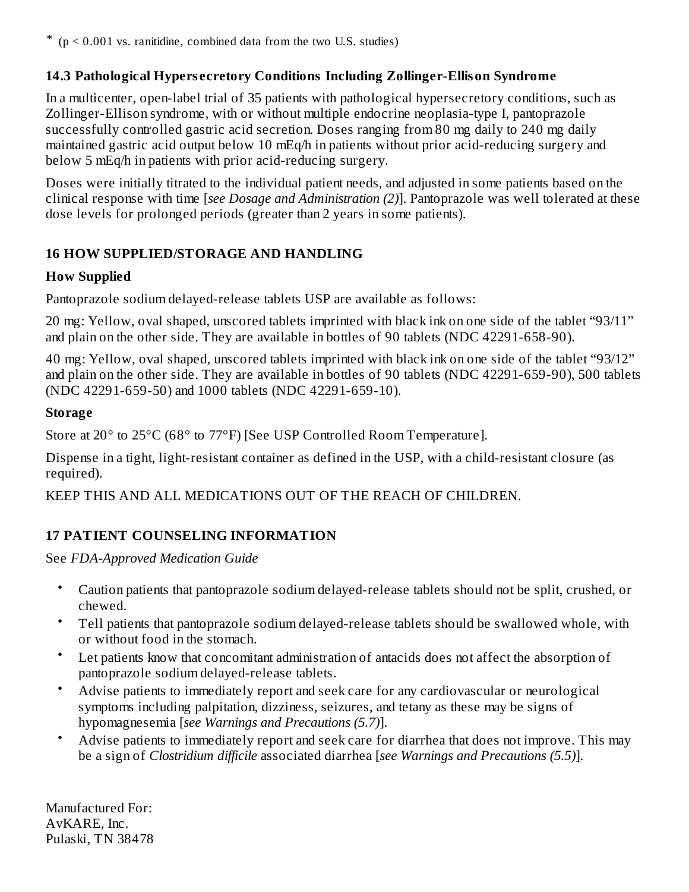$*$  ( $p < 0.001$  vs. ranitidine, combined data from the two U.S. studies)

### **14.3 Pathological Hypers ecretory Conditions Including Zollinger-Ellison Syndrome**

In a multicenter, open-label trial of 35 patients with pathological hypersecretory conditions, such as Zollinger-Ellison syndrome, with or without multiple endocrine neoplasia-type I, pantoprazole successfully controlled gastric acid secretion. Doses ranging from 80 mg daily to 240 mg daily maintained gastric acid output below 10 mEq/h in patients without prior acid-reducing surgery and below 5 mEq/h in patients with prior acid-reducing surgery.

Doses were initially titrated to the individual patient needs, and adjusted in some patients based on the clinical response with time [*see Dosage and Administration (2)*]. Pantoprazole was well tolerated at these dose levels for prolonged periods (greater than 2 years in some patients).

### **16 HOW SUPPLIED/STORAGE AND HANDLING**

### **How Supplied**

Pantoprazole sodium delayed-release tablets USP are available as follows:

20 mg: Yellow, oval shaped, unscored tablets imprinted with black ink on one side of the tablet "93/11" and plain on the other side. They are available in bottles of 90 tablets (NDC 42291-658-90).

40 mg: Yellow, oval shaped, unscored tablets imprinted with black ink on one side of the tablet "93/12" and plain on the other side. They are available in bottles of 90 tablets (NDC 42291-659-90), 500 tablets (NDC 42291-659-50) and 1000 tablets (NDC 42291-659-10).

### **Storage**

Store at 20° to 25°C (68° to 77°F) [See USP Controlled Room Temperature].

Dispense in a tight, light-resistant container as defined in the USP, with a child-resistant closure (as required).

KEEP THIS AND ALL MEDICATIONS OUT OF THE REACH OF CHILDREN.

# **17 PATIENT COUNSELING INFORMATION**

See *FDA-Approved Medication Guide*

- Caution patients that pantoprazole sodium delayed-release tablets should not be split, crushed, or chewed.
- Tell patients that pantoprazole sodium delayed-release tablets should be swallowed whole, with or without food in the stomach.
- Let patients know that concomitant administration of antacids does not affect the absorption of pantoprazole sodium delayed-release tablets.
- Advise patients to immediately report and seek care for any cardiovascular or neurological symptoms including palpitation, dizziness, seizures, and tetany as these may be signs of hypomagnesemia [*see Warnings and Precautions (5.7)*].
- Advise patients to immediately report and seek care for diarrhea that does not improve. This may be a sign of *Clostridium difficile* associated diarrhea [*see Warnings and Precautions (5.5)*].

Manufactured For: AvKARE, Inc. Pulaski, TN 38478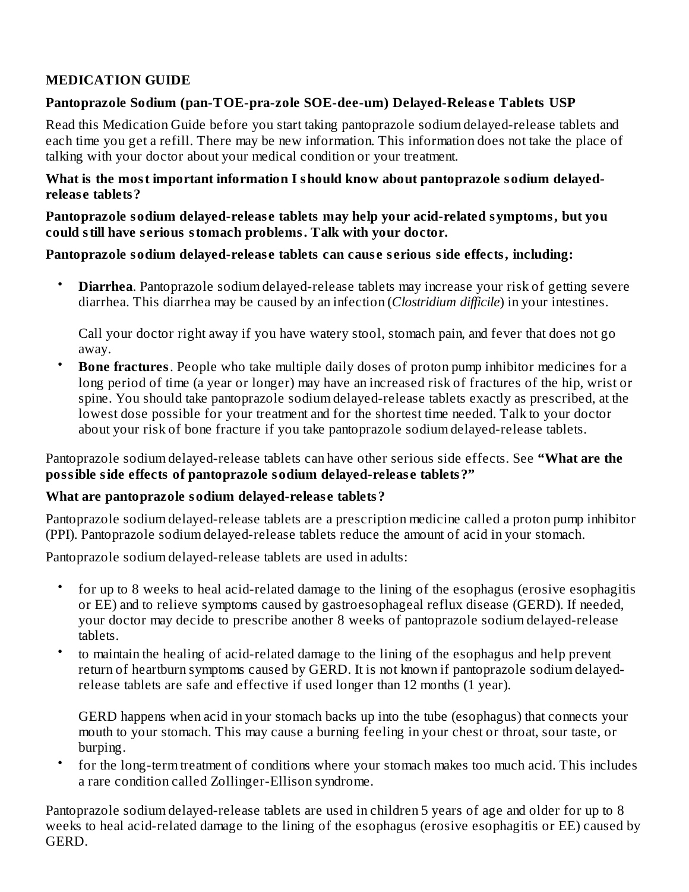#### **MEDICATION GUIDE**

#### **Pantoprazole Sodium (pan-TOE-pra-zole SOE-dee-um) Delayed-Releas e Tablets USP**

Read this Medication Guide before you start taking pantoprazole sodium delayed-release tablets and each time you get a refill. There may be new information. This information does not take the place of talking with your doctor about your medical condition or your treatment.

#### **What is the most important information I should know about pantoprazole sodium delayedreleas e tablets?**

#### **Pantoprazole sodium delayed-releas e tablets may help your acid-related symptoms, but you could still have s erious stomach problems. Talk with your doctor.**

#### **Pantoprazole sodium delayed-releas e tablets can caus e s erious side effects, including:**

• **Diarrhea**. Pantoprazole sodium delayed-release tablets may increase your risk of getting severe diarrhea. This diarrhea may be caused by an infection (*Clostridium difficile*) in your intestines.

Call your doctor right away if you have watery stool, stomach pain, and fever that does not go away.

• **Bone fractures**. People who take multiple daily doses of proton pump inhibitor medicines for a long period of time (a year or longer) may have an increased risk of fractures of the hip, wrist or spine. You should take pantoprazole sodium delayed-release tablets exactly as prescribed, at the lowest dose possible for your treatment and for the shortest time needed. Talk to your doctor about your risk of bone fracture if you take pantoprazole sodium delayed-release tablets.

Pantoprazole sodium delayed-release tablets can have other serious side effects. See **"What are the possible side effects of pantoprazole sodium delayed-releas e tablets?"**

#### **What are pantoprazole sodium delayed-releas e tablets?**

Pantoprazole sodium delayed-release tablets are a prescription medicine called a proton pump inhibitor (PPI). Pantoprazole sodium delayed-release tablets reduce the amount of acid in your stomach.

Pantoprazole sodium delayed-release tablets are used in adults:

- for up to 8 weeks to heal acid-related damage to the lining of the esophagus (erosive esophagitis or EE) and to relieve symptoms caused by gastroesophageal reflux disease (GERD). If needed, your doctor may decide to prescribe another 8 weeks of pantoprazole sodium delayed-release tablets.
- to maintain the healing of acid-related damage to the lining of the esophagus and help prevent return of heartburn symptoms caused by GERD. It is not known if pantoprazole sodium delayedrelease tablets are safe and effective if used longer than 12 months (1 year).

GERD happens when acid in your stomach backs up into the tube (esophagus) that connects your mouth to your stomach. This may cause a burning feeling in your chest or throat, sour taste, or burping.

• for the long-term treatment of conditions where your stomach makes too much acid. This includes a rare condition called Zollinger-Ellison syndrome.

Pantoprazole sodium delayed-release tablets are used in children 5 years of age and older for up to 8 weeks to heal acid-related damage to the lining of the esophagus (erosive esophagitis or EE) caused by GERD.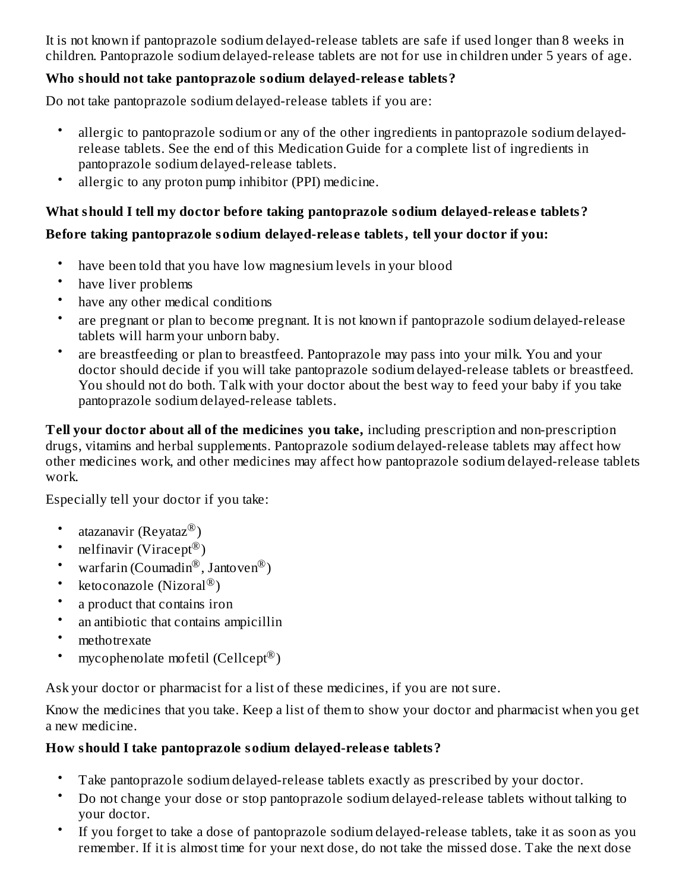It is not known if pantoprazole sodium delayed-release tablets are safe if used longer than 8 weeks in children. Pantoprazole sodium delayed-release tablets are not for use in children under 5 years of age.

#### **Who should not take pantoprazole sodium delayed-releas e tablets?**

Do not take pantoprazole sodium delayed-release tablets if you are:

- allergic to pantoprazole sodium or any of the other ingredients in pantoprazole sodium delayedrelease tablets. See the end of this Medication Guide for a complete list of ingredients in pantoprazole sodium delayed-release tablets.
- allergic to any proton pump inhibitor (PPI) medicine.

# **What should I tell my doctor before taking pantoprazole sodium delayed-releas e tablets?**

### **Before taking pantoprazole sodium delayed-releas e tablets, tell your doctor if you:**

- have been told that you have low magnesium levels in your blood
- have liver problems
- have any other medical conditions
- are pregnant or plan to become pregnant. It is not known if pantoprazole sodium delayed-release tablets will harm your unborn baby.
- are breastfeeding or plan to breastfeed. Pantoprazole may pass into your milk. You and your doctor should decide if you will take pantoprazole sodium delayed-release tablets or breastfeed. You should not do both. Talk with your doctor about the best way to feed your baby if you take pantoprazole sodium delayed-release tablets.

**Tell your doctor about all of the medicines you take,** including prescription and non-prescription drugs, vitamins and herbal supplements. Pantoprazole sodium delayed-release tablets may affect how other medicines work, and other medicines may affect how pantoprazole sodium delayed-release tablets work.

Especially tell your doctor if you take:

- atazanavir (Reyataz $^{\circledR}$ )
- nelfinavir (Viracept $^{\circledR}$ )
- warfarin (Coumadin<sup>®</sup>, Jantoven<sup>®</sup>)
- ketoconazole (Nizoral $\mathbb{R}$ )
- a product that contains iron
- an antibiotic that contains ampicillin
- methotrexate
- mycophenolate mofetil (Cellcept $\mathbb{B}$ )

Ask your doctor or pharmacist for a list of these medicines, if you are not sure.

Know the medicines that you take. Keep a list of them to show your doctor and pharmacist when you get a new medicine.

### **How should I take pantoprazole sodium delayed-releas e tablets?**

- Take pantoprazole sodium delayed-release tablets exactly as prescribed by your doctor.
- Do not change your dose or stop pantoprazole sodium delayed-release tablets without talking to your doctor.
- If you forget to take a dose of pantoprazole sodium delayed-release tablets, take it as soon as you remember. If it is almost time for your next dose, do not take the missed dose. Take the next dose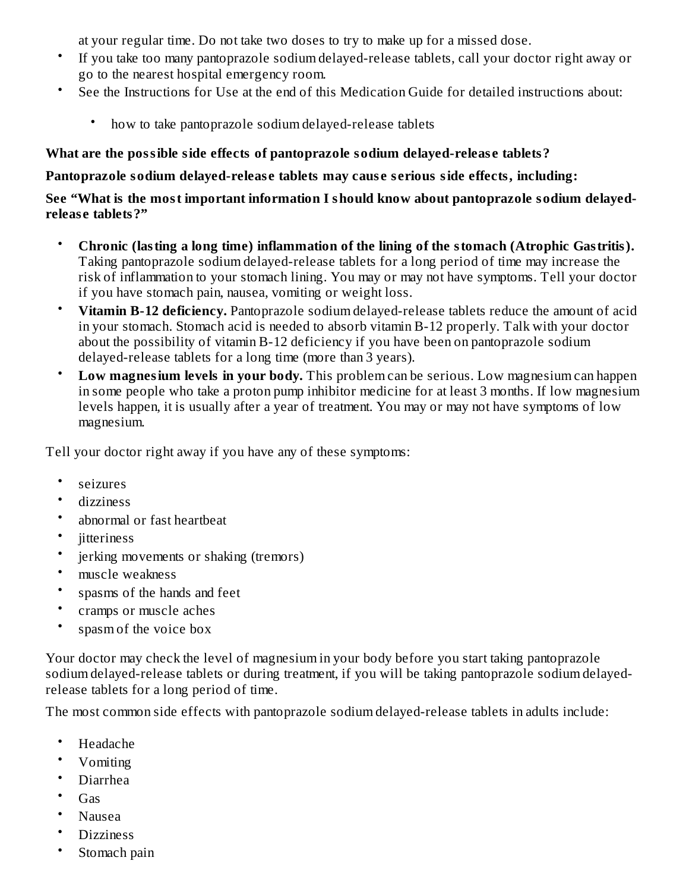at your regular time. Do not take two doses to try to make up for a missed dose.

- If you take too many pantoprazole sodium delayed-release tablets, call your doctor right away or go to the nearest hospital emergency room.
- See the Instructions for Use at the end of this Medication Guide for detailed instructions about:
	- how to take pantoprazole sodium delayed-release tablets

### **What are the possible side effects of pantoprazole sodium delayed-releas e tablets?**

**Pantoprazole sodium delayed-releas e tablets may caus e s erious side effects, including:**

#### **See "What is the most important information I should know about pantoprazole sodium delayedreleas e tablets?"**

- **Chronic (lasting a long time) inflammation of the lining of the stomach (Atrophic Gastritis).** Taking pantoprazole sodium delayed-release tablets for a long period of time may increase the risk of inflammation to your stomach lining. You may or may not have symptoms. Tell your doctor if you have stomach pain, nausea, vomiting or weight loss.
- **Vitamin B-12 deficiency.** Pantoprazole sodium delayed-release tablets reduce the amount of acid in your stomach. Stomach acid is needed to absorb vitamin B-12 properly. Talk with your doctor about the possibility of vitamin B-12 deficiency if you have been on pantoprazole sodium delayed-release tablets for a long time (more than 3 years).
- **Low magnesium levels in your body.** This problem can be serious. Low magnesium can happen in some people who take a proton pump inhibitor medicine for at least 3 months. If low magnesium levels happen, it is usually after a year of treatment. You may or may not have symptoms of low magnesium.

Tell your doctor right away if you have any of these symptoms:

- seizures
- dizziness
- abnormal or fast heartbeat
- jitteriness
- jerking movements or shaking (tremors)
- muscle weakness
- spasms of the hands and feet
- cramps or muscle aches
- spasm of the voice box

Your doctor may check the level of magnesium in your body before you start taking pantoprazole sodium delayed-release tablets or during treatment, if you will be taking pantoprazole sodium delayedrelease tablets for a long period of time.

The most common side effects with pantoprazole sodium delayed-release tablets in adults include:

- Headache
- Vomiting
- Diarrhea
- Gas
- Nausea
- Dizziness
- Stomach pain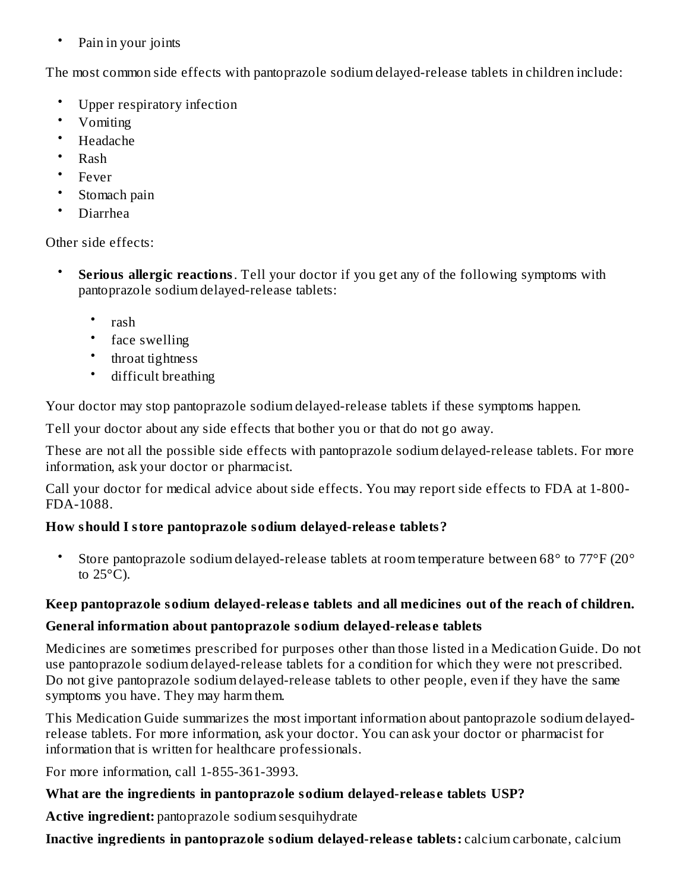• Pain in your joints

The most common side effects with pantoprazole sodium delayed-release tablets in children include:

- Upper respiratory infection
- Vomiting
- Headache
- Rash
- Fever
- Stomach pain
- Diarrhea

Other side effects:

- **Serious allergic reactions**. Tell your doctor if you get any of the following symptoms with pantoprazole sodium delayed-release tablets:
	- rash
	- face swelling
	- throat tightness
	- difficult breathing

Your doctor may stop pantoprazole sodium delayed-release tablets if these symptoms happen.

Tell your doctor about any side effects that bother you or that do not go away.

These are not all the possible side effects with pantoprazole sodium delayed-release tablets. For more information, ask your doctor or pharmacist.

Call your doctor for medical advice about side effects. You may report side effects to FDA at 1-800- FDA-1088.

### **How should I store pantoprazole sodium delayed-releas e tablets?**

• Store pantoprazole sodium delayed-release tablets at room temperature between 68° to 77°F (20° to  $25^{\circ}$ C).

### **Keep pantoprazole sodium delayed-releas e tablets and all medicines out of the reach of children.**

### **General information about pantoprazole sodium delayed-releas e tablets**

Medicines are sometimes prescribed for purposes other than those listed in a Medication Guide. Do not use pantoprazole sodium delayed-release tablets for a condition for which they were not prescribed. Do not give pantoprazole sodium delayed-release tablets to other people, even if they have the same symptoms you have. They may harm them.

This Medication Guide summarizes the most important information about pantoprazole sodium delayedrelease tablets. For more information, ask your doctor. You can ask your doctor or pharmacist for information that is written for healthcare professionals.

For more information, call 1-855-361-3993.

### **What are the ingredients in pantoprazole sodium delayed-releas e tablets USP?**

**Active ingredient:** pantoprazole sodium sesquihydrate

**Inactive ingredients in pantoprazole sodium delayed-releas e tablets:** calcium carbonate, calcium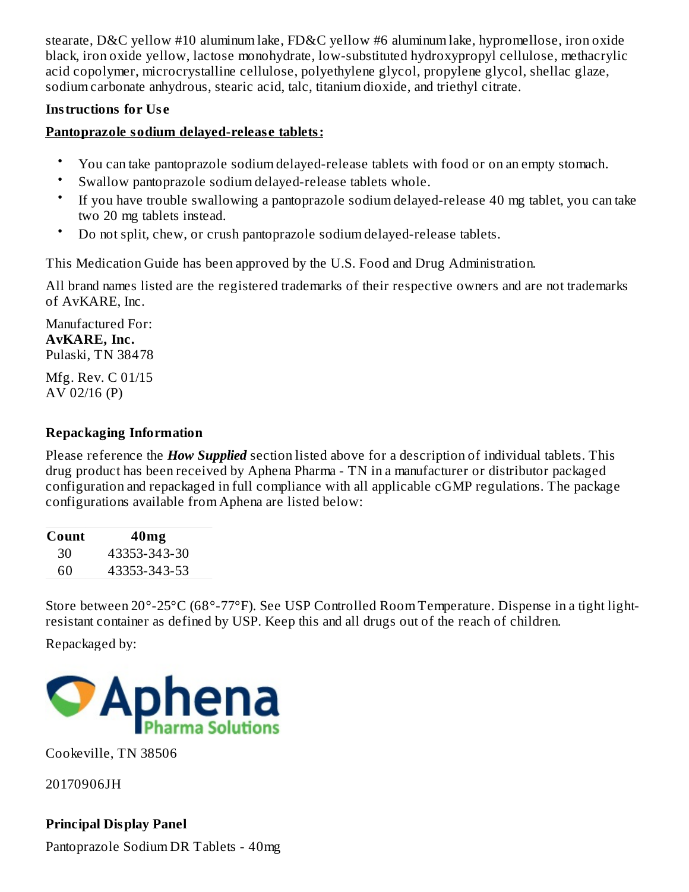stearate, D&C yellow #10 aluminum lake, FD&C yellow #6 aluminum lake, hypromellose, iron oxide black, iron oxide yellow, lactose monohydrate, low-substituted hydroxypropyl cellulose, methacrylic acid copolymer, microcrystalline cellulose, polyethylene glycol, propylene glycol, shellac glaze, sodium carbonate anhydrous, stearic acid, talc, titanium dioxide, and triethyl citrate.

#### **Instructions for Us e**

#### **Pantoprazole sodium delayed-releas e tablets:**

- You can take pantoprazole sodium delayed-release tablets with food or on an empty stomach.
- Swallow pantoprazole sodium delayed-release tablets whole.
- If you have trouble swallowing a pantoprazole sodium delayed-release 40 mg tablet, you can take two 20 mg tablets instead.
- Do not split, chew, or crush pantoprazole sodium delayed-release tablets.

This Medication Guide has been approved by the U.S. Food and Drug Administration.

All brand names listed are the registered trademarks of their respective owners and are not trademarks of AvKARE, Inc.

#### Manufactured For: **AvKARE, Inc.** Pulaski, TN 38478

Mfg. Rev. C 01/15 AV 02/16 (P)

### **Repackaging Information**

Please reference the *How Supplied* section listed above for a description of individual tablets. This drug product has been received by Aphena Pharma - TN in a manufacturer or distributor packaged configuration and repackaged in full compliance with all applicable cGMP regulations. The package configurations available from Aphena are listed below:

| Count | 40 <sub>mg</sub> |
|-------|------------------|
| 30    | 43353-343-30     |
| 60    | 43353-343-53     |

Store between 20°-25°C (68°-77°F). See USP Controlled Room Temperature. Dispense in a tight lightresistant container as defined by USP. Keep this and all drugs out of the reach of children.

Repackaged by:



Cookeville, TN 38506

20170906JH

# **Principal Display Panel**

Pantoprazole Sodium DR Tablets - 40mg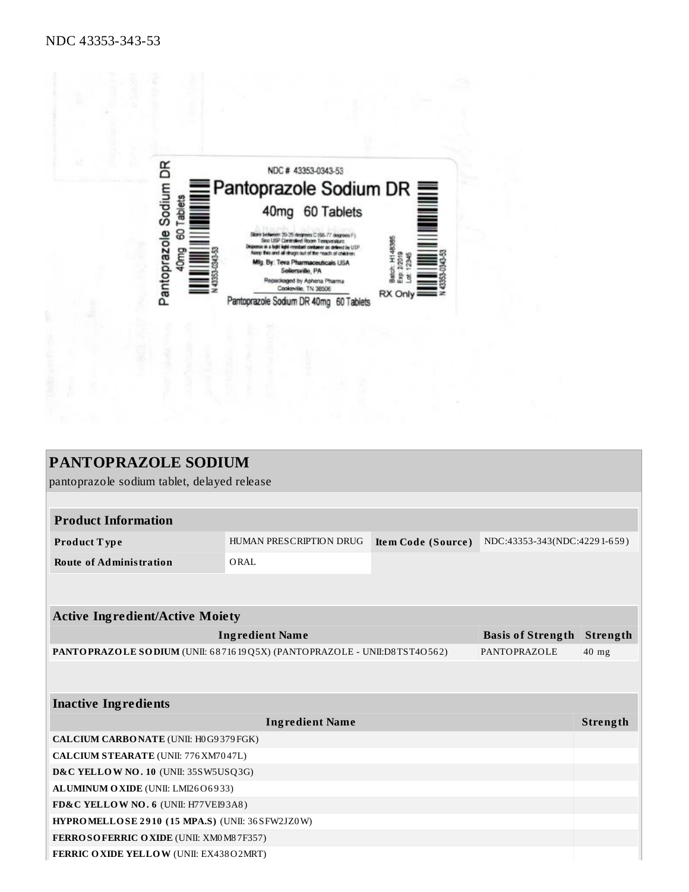

| PANTOPRAZOLE SODIUM                                                                     |                                                                                      |  |                                   |          |  |  |
|-----------------------------------------------------------------------------------------|--------------------------------------------------------------------------------------|--|-----------------------------------|----------|--|--|
| pantoprazole sodium tablet, delayed release                                             |                                                                                      |  |                                   |          |  |  |
|                                                                                         |                                                                                      |  |                                   |          |  |  |
| <b>Product Information</b>                                                              |                                                                                      |  |                                   |          |  |  |
| Product Type                                                                            | <b>HUMAN PRESCRIPTION DRUG</b><br>NDC:43353-343(NDC:42291-659)<br>Item Code (Source) |  |                                   |          |  |  |
| <b>Route of Administration</b>                                                          | ORAL                                                                                 |  |                                   |          |  |  |
|                                                                                         |                                                                                      |  |                                   |          |  |  |
|                                                                                         |                                                                                      |  |                                   |          |  |  |
| <b>Active Ingredient/Active Moiety</b>                                                  |                                                                                      |  |                                   |          |  |  |
|                                                                                         | <b>Ingredient Name</b>                                                               |  | <b>Basis of Strength Strength</b> |          |  |  |
| PANTOPRAZOLE SODIUM (UNII: 6871619Q5X) (PANTOPRAZOLE - UNII:D8TST4O562)<br>PANTOPRAZOLE |                                                                                      |  |                                   | $40$ mg  |  |  |
|                                                                                         |                                                                                      |  |                                   |          |  |  |
|                                                                                         |                                                                                      |  |                                   |          |  |  |
| <b>Inactive Ingredients</b>                                                             |                                                                                      |  |                                   |          |  |  |
| <b>Ingredient Name</b>                                                                  |                                                                                      |  |                                   | Strength |  |  |
| CALCIUM CARBONATE (UNII: H0G9379FGK)                                                    |                                                                                      |  |                                   |          |  |  |
| <b>CALCIUM STEARATE (UNII: 776 XM70 47L)</b>                                            |                                                                                      |  |                                   |          |  |  |
| D&C YELLOW NO. 10 (UNII: 35SW5USQ3G)                                                    |                                                                                      |  |                                   |          |  |  |
| ALUMINUM OXIDE (UNII: LMI26O6933)                                                       |                                                                                      |  |                                   |          |  |  |
| FD&C YELLOW NO. 6 (UNII: H77VEI93A8)                                                    |                                                                                      |  |                                   |          |  |  |
| HYPROMELLOSE 2910 (15 MPA.S) (UNII: 36 SFW2JZ0W)                                        |                                                                                      |  |                                   |          |  |  |
| FERROSOFERRIC OXIDE (UNII: XM0 M8 7F357)                                                |                                                                                      |  |                                   |          |  |  |
| FERRIC OXIDE YELLOW (UNII: EX438O2MRT)                                                  |                                                                                      |  |                                   |          |  |  |